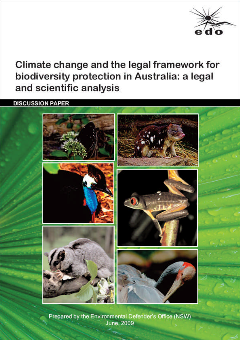

# Climate change and the legal framework for biodiversity protection in Australia: a legal and scientific analysis

**DISCUSSION PAPER** 



Prepared by the Environmental Defender's Office (NSW) **June, 2009**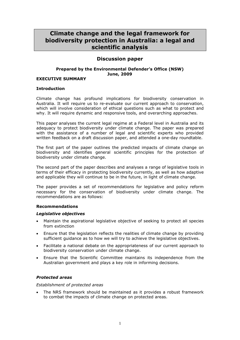# **Climate change and the legal framework for biodiversity protection in Australia: a legal and scientific analysis**

# **Discussion paper**

# **Prepared by the Environmental Defender's Office (NSW) June, 2009**

# **EXECUTIVE SUMMARY**

#### **Introduction**

Climate change has profound implications for biodiversity conservation in Australia. It will require us to re-evaluate our current approach to conservation, which will involve consideration of ethical questions such as what to protect and why. It will require dynamic and responsive tools, and overarching approaches.

This paper analyses the current legal regime at a Federal level in Australia and its adequacy to protect biodiversity under climate change. The paper was prepared with the assistance of a number of legal and scientific experts who provided written feedback on a draft discussion paper, and attended a one-day roundtable.

The first part of the paper outlines the predicted impacts of climate change on biodiversity and identifies general scientific principles for the protection of biodiversity under climate change.

The second part of the paper describes and analyses a range of legislative tools in terms of their efficacy in protecting biodiversity currently, as well as how adaptive and applicable they will continue to be in the future, in light of climate change.

The paper provides a set of recommendations for legislative and policy reform necessary for the conservation of biodiversity under climate change. The recommendations are as follows:

#### **Recommendations**

#### *Legislative objectives*

- Maintain the aspirational legislative objective of seeking to protect all species from extinction
- Ensure that the legislation reflects the realities of climate change by providing sufficient guidance as to how we will try to achieve the legislative objectives.
- Facilitate a national debate on the appropriateness of our current approach to biodiversity conservation under climate change.
- Ensure that the Scientific Committee maintains its independence from the Australian government and plays a key role in informing decisions.

# *Protected areas*

#### *Establishment of protected areas*

 The NRS framework should be maintained as it provides a robust framework to combat the impacts of climate change on protected areas.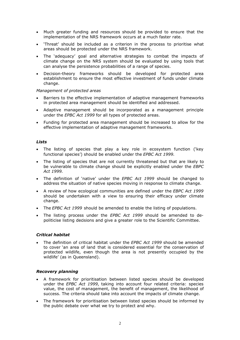- Much greater funding and resources should be provided to ensure that the implementation of the NRS framework occurs at a much faster rate.
- 'Threat' should be included as a criterion in the process to prioritise what areas should be protected under the NRS framework.
- The 'adequacy' goal and alternative strategies to combat the impacts of climate change on the NRS system should be evaluated by using tools that can analyse the persistence probabilities of a range of species.
- Decision-theory frameworks should be developed for protected area establishment to ensure the most effective investment of funds under climate change.

#### *Management of protected areas*

- Barriers to the effective implementation of adaptive management frameworks in protected area management should be identified and addressed.
- Adaptive management should be incorporated as a management principle under the *EPBC Act 1999* for all types of protected areas.
- Funding for protected area management should be increased to allow for the effective implementation of adaptive management frameworks.

# *Lists*

- The listing of species that play a key role in ecosystem function ('key functional species') should be enabled under the *EPBC Act 1999.*
- The listing of species that are not currently threatened but that are likely to be vulnerable to climate change should be explicitly enabled under the *EBPC Act 1999.*
- The definition of 'native' under the *EPBC Act 1999* should be changed to address the situation of native species moving in response to climate change.
- A review of how ecological communities are defined under the *EBPC Act 1999* should be undertaken with a view to ensuring their efficacy under climate change.
- The *EPBC Act 1999* should be amended to enable the listing of populations.
- The listing process under the *EPBC Act 1999* should be amended to depoliticise listing decisions and give a greater role to the Scientific Committee.

# *Critical habitat*

 The definition of critical habitat under the *EPBC Act 1999* should be amended to cover 'an area of land that is considered essential for the conservation of protected wildlife, even though the area is not presently occupied by the wildlife' (as in Queensland).

#### *Recovery planning*

- A framework for prioritisation between listed species should be developed under the *EPBC Act 1999*, taking into account four related criteria: species value, the cost of management, the benefit of management, the likelihood of success. The criteria should take into account the impacts of climate change.
- The framework for prioritisation between listed species should be informed by the public debate over what we try to protect and why.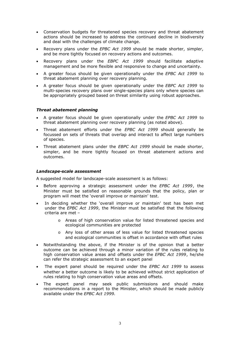- Conservation budgets for threatened species recovery and threat abatement actions should be increased to address the continued decline in biodiversity and deal with the challenges of climate change.
- Recovery plans under the *EPBC Act 1999* should be made shorter, simpler, and be more tightly focused on recovery actions and outcomes.
- Recovery plans under the *EBPC Act 1999* should facilitate adaptive management and be more flexible and responsive to change and uncertainty.
- A greater focus should be given operationally under the *EPBC Act 1999* to threat abatement planning over recovery planning.
- A greater focus should be given operationally under the *EBPC Act 1999* to multi-species recovery plans over single-species plans only where species can be appropriately grouped based on threat similarity using robust approaches.

#### *Threat abatement planning*

- A greater focus should be given operationally under the *EPBC Act 1999* to threat abatement planning over recovery planning (as noted above).
- Threat abatement efforts under the *EPBC Act 1999* should generally be focussed on sets of threats that overlap and interact to affect large numbers of species.
- Threat abatement plans under the *EBPC Act 1999* should be made shorter, simpler, and be more tightly focused on threat abatement actions and outcomes.

#### *Landscape-scale assessment*

A suggested model for landscape-scale assessment is as follows:

- Before approving a strategic assessment under the *EPBC Act 1999*, the Minister must be satisfied on reasonable grounds that the policy, plan or program will meet the 'overall improve or maintain' test.
- In deciding whether the 'overall improve or maintain' test has been met under the *EPBC Act 1999*, the Minister must be satisfied that the following criteria are met –
	- o Areas of high conservation value for listed threatened species and ecological communities are protected
	- o Any loss of other areas of less value for listed threatened species and ecological communities is offset in accordance with offset rules
- Notwithstanding the above, if the Minister is of the opinion that a better outcome can be achieved through a minor variation of the rules relating to high conservation value areas and offsets under the *EPBC Act 1999*, he/she can refer the strategic assessment to an expert panel
- The expert panel should be required under the *EPBC Act 1999* to assess whether a better outcome is likely to be achieved without strict application of rules relating to high conservation value areas and offsets.
- The expert panel may seek public submissions and should make recommendations in a report to the Minister, which should be made publicly available under the *EPBC Act 1999.*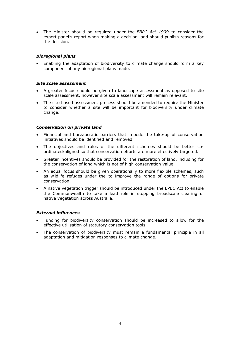The Minister should be required under the *EBPC Act 1999* to consider the expert panel's report when making a decision, and should publish reasons for the decision.

# *Bioregional plans*

 Enabling the adaptation of biodiversity to climate change should form a key component of any bioregional plans made.

#### *Site scale assessment*

- A greater focus should be given to landscape assessment as opposed to site scale assessment, however site scale assessment will remain relevant.
- The site based assessment process should be amended to require the Minister to consider whether a site will be important for biodiversity under climate change.

#### *Conservation on private land*

- Financial and bureaucratic barriers that impede the take-up of conservation initiatives should be identified and removed.
- The objectives and rules of the different schemes should be better coordinated/aligned so that conservation efforts are more effectively targeted.
- Greater incentives should be provided for the restoration of land, including for the conservation of land which is not of high conservation value.
- An equal focus should be given operationally to more flexible schemes, such as wildlife refuges under the to improve the range of options for private conservation.
- A native vegetation trigger should be introduced under the EPBC Act to enable the Commonwealth to take a lead role in stopping broadscale clearing of native vegetation across Australia.

#### *External influences*

- Funding for biodiversity conservation should be increased to allow for the effective utilisation of statutory conservation tools.
- The conservation of biodiversity must remain a fundamental principle in all adaptation and mitigation responses to climate change.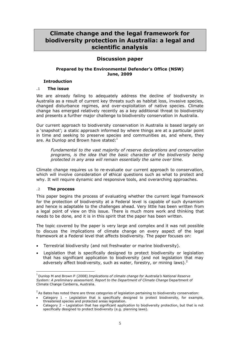# **Climate change and the legal framework for biodiversity protection in Australia: a legal and scientific analysis**

# **Discussion paper**

# **Prepared by the Environmental Defender's Office (NSW) June, 2009**

# **Introduction**

# **.1 The issue**

We are already failing to adequately address the decline of biodiversity in Australia as a result of current key threats such as habitat loss, invasive species, changed disturbance regimes, and over-exploitation of native species. Climate change has emerged relatively recently as a key additional threat to biodiversity and presents a further major challenge to biodiversity conservation in Australia.

Our current approach to biodiversity conservation in Australia is based largely on a 'snapshot'; a static approach informed by where things are at a particular point in time and seeking to preserve species and communities as, and where, they are. As Dunlop and Brown have stated:<sup>1</sup>

*Fundamental to the vast majority of reserve declarations and conservation programs, is the idea that the basic character of the biodiversity being protected in any area will remain essentially the same over time*.

Climate change requires us to re-evaluate our current approach to conservation, which will involve consideration of ethical questions such as what to protect and why. It will require dynamic and responsive tools, and overarching approaches.

# **.2 The process**

This paper begins the process of evaluating whether the current legal framework for the protection of biodiversity at a Federal level is capable of such dynamism and hence is adaptable to the challenges ahead. Very little has been written from a legal point of view on this issue. There is much more work and thinking that needs to be done, and it is in this spirit that the paper has been written.

The topic covered by the paper is very large and complex and it was not possible to discuss the implications of climate change on every aspect of the legal framework at a Federal level that affects biodiversity. The paper focuses on:

- Terrestrial biodiversity (and not freshwater or marine biodiversity).
- Legislation that is specifically designed to protect biodiversity or legislation that has significant application to biodiversity (and not legislation that may adversely affect biodiversity, such as water, forestry, or mining laws). $<sup>2</sup>$ </sup>

<sup>1</sup> Dunlop M and Brown P (2008) *Implications of climate change for Australia's National Reserve System: A preliminary assessment. Report to the Department of Climate Change* Department of Climate Change Canberra, Australia.

 $^{2}$  As Bates has noted there are three categories of legislation pertaining to biodiversity conservation:

Category 1 – Legislation that is specifically designed to protect biodiversity, for example, threatened species and protected areas legislation.

Category 2 – Legislation that has significant application to biodiversity protection, but that is not specifically designed to protect biodiversity (e.g. planning laws).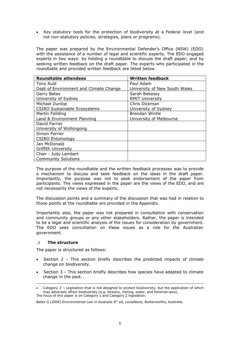Key *statutory* tools for the protection of biodiversity at a Federal level (and not non-statutory policies, strategies, plans or programs).

The paper was prepared by the Environmental Defender's Office (NSW) (EDO) with the assistance of a number of legal and scientific experts. The EDO engaged experts in two ways: by holding a roundtable to discuss the draft paper; and by seeking written feedback on the draft paper. The experts who participated in the roundtable and provided written feedback are listed below.

| <b>Roundtable attendees</b>            | <b>Written feedback</b>       |
|----------------------------------------|-------------------------------|
| Tony Auld                              | Paul Adam                     |
| Dept of Environment and Climate Change | University of New South Wales |
| Gerry Bates                            | Sarah Bekessy                 |
| University of Sydney                   | <b>RMIT University</b>        |
| Michael Dunlop                         | Chris Dickman                 |
| <b>CSIRO Sustainable Ecosystems</b>    | University of Sydney          |
| Martin Fallding                        | Brendan Wintle                |
| Land & Environment Planning            | University of Melbourne       |
| David Farrier                          |                               |
| University of Wollongong               |                               |
| Simon Ferrier                          |                               |
| <b>CSIRO Entomology</b>                |                               |
| Jan McDonald                           |                               |
| <b>Griffith University</b>             |                               |
| Chair - Judy Lambert                   |                               |
| <b>Community Solutions</b>             |                               |

The purpose of the roundtable and the written feedback processes was to provide a mechanism to discuss and seek feedback on the ideas in the draft paper. Importantly, the purpose was not to seek endorsement of the paper from participants. The views expressed in the paper are the views of the EDO, and are not necessarily the views of the experts.

The discussion points and a summary of the discussion that was had in relation to those points at the roundtable are provided in the Appendix.

Importantly also, the paper was not prepared in consultation with conservation and community groups or any other stakeholders. Rather, the paper is intended to be a legal and scientific analysis of the issues for consideration by government. The EDO sees consultation on these issues as a role for the Australian government.

#### **.3 The structure**

The paper is structured as follows:

- Section 2 This section briefly describes the predicted impacts of climate change on biodiversity.
- Section 3 This section briefly describes how species have adapted to climate change in the past.

Bates G (2006) *Environmental Law in Australia* 6 th ed, LexisNexis, Butterworths, Australia.

Category 3 – Legislation that is not designed to protect biodiversity, but the application of which may adversely affect biodiversity (e.g. forestry, mining, water, and fisheries laws). The focus of this paper is on Category 1 and Category 2 legislation.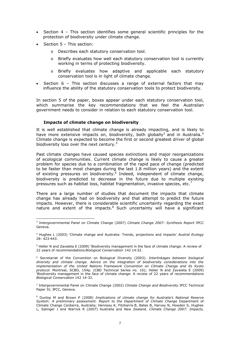- Section 4 This section identifies some general scientific principles for the protection of biodiversity under climate change.
- Section 5 This section:
	- o Describes each statutory conservation tool.
	- o Briefly evaluates how well each statutory conservation tool is currently working in terms of protecting biodiversity.
	- o Briefly evaluates how adaptive and applicable each statutory conservation tool is in light of climate change.
- Section 6 This section discusses a range of external factors that may influence the ability of the statutory conservation tools to protect biodiversity.

In section 5 of the paper, boxes appear under each statutory conservation tool, which summarise the key recommendations that we feel the Australian government needs to consider in relation to each statutory conservation tool.

#### **Impacts of climate change on biodiversity**

It is well established that climate change is already impacting, and is likely to have more extensive impacts on, biodiversity, both globally<sup>3</sup> and in Australia.<sup>4</sup> Climate change is expected to become the first or second greatest driver of global biodiversity loss over the next century.<sup>5</sup>

Past climate changes have caused species extinctions and major reorganizations of ecological communities. Current climate change is likely to cause a greater problem for species due to a combination of the rapid pace of change (predicted to be faster than most changes during the last 1.8 million years) and the extent of existing pressures on biodiversity.<sup>6</sup> Indeed, independent of climate change, biodiversity is predicted to decrease in the future due to multiple existing pressures such as habitat loss, habitat fragmentation, invasive species, etc.<sup>7</sup>

There are a large number of studies that document the impacts that climate change has already had on biodiversity and that attempt to predict the future impacts. However, there is considerable scientific uncertainty regarding the exact nature and extent of the impacts. $8$  Such uncertainty will have a significant

<sup>3</sup> Intergovernmental Panel on Climate Change (2007) *Climate Change 2007: Synthesis Report* IPCC Geneva.

<sup>4</sup> Hughes L (2003) 'Climate change and Australia: Trends, projections and impacts' *Austral Ecology* 28: 423-443.

<sup>5</sup> Heller N and Zavaleta E (2009) 'Biodiversity management in the face of climate change: A review of 22 years of recommendations *Biological Conservation* 142 14-32.

<sup>6</sup> Secretariat of the Convention on Biological Diversity (2003). *Interlinkages between biological diversity and climate change. Advice on the integration of biodiversity considerations into the implementation of the United Nations Framework Convention on Climate Change and its Kyoto protocol*. Montreal, SCBD, 154p. (CBD Technical Series no. 10); Heller N and Zavaleta E (2009) 'Biodiversity management in the face of climate change: A review of 22 years of recommendations *Biological Conservation* 142 14-32.

<sup>7</sup> Intergovernmental Panel on Climate Change (2002) *Climate Change and Biodiversity* IPCC Technical Paper IV, IPCC, Geneva.

<sup>8</sup> Dunlop M and Brown P (2008) *Implications of climate change for Australia's National Reserve System: A preliminary assessment. Report to the Department of Climate Change* Department of Climate Change Canberra, Australia; Hennesy K, Fitzharris B, Bates B, Harvey N, Howden S, Hughes L, Salinger J and Warrick R (2007) Australia and New Zealand. *Climate Change 2007: Impacts,*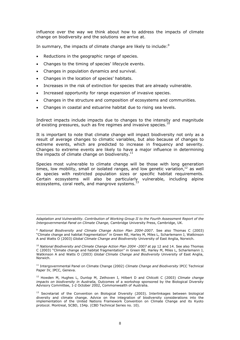influence over the way we think about how to address the impacts of climate change on biodiversity and the solutions we arrive at.

In summary, the impacts of climate change are likely to include: $9$ 

- Reductions in the geographic range of species.
- Changes to the timing of species' lifecycle events.
- Changes in population dynamics and survival.
- Changes in the location of species' habitats.
- Increases in the risk of extinction for species that are already vulnerable.
- Increased opportunity for range expansion of invasive species.
- Changes in the structure and composition of ecosystems and communities.
- Changes in coastal and estuarine habitat due to rising sea levels.

Indirect impacts include impacts due to changes to the intensity and magnitude of existing pressures, such as fire regimes and invasive species.<sup>10</sup>

It is important to note that climate change will impact biodiversity not only as a result of average changes to climatic variables, but also because of changes to extreme events, which are predicted to increase in frequency and severity. Changes to extreme events are likely to have a major influence in determining the impacts of climate change on biodiversity.<sup>1</sup>

Species most vulnerable to climate change will be those with long generation times, low mobility, small or isolated ranges, and low genetic variation, $^{12}$  as well as species with restricted population sizes or specific habitat requirements. Certain ecosystems will also be particularly vulnerable, including alpine ecosystems, coral reefs, and mangrove systems.<sup>13</sup>

*Adaptation and Vulnerability. Contribution of Working Group II to the Fourth Assessment Report of the Intergovernmental Panel on Climate Change,* Cambridge University Press, Cambridge, UK.

<sup>9</sup> *National Biodiversity and Climate Change Action Plan 2004-2007*. See also Thomas C (2003) "Climate change and habitat fragmentation" in Green RE, Harley M, Miles L, Scharlemann J, Watkinson A and Watts O (2003) *Global Climate Change and Biodiversity* University of East Anglia, Norwich.

<sup>10</sup> *National Biodiversity and Climate Change Action Plan 2004 -2007* at pp 12 and 14. See also Thomas C (2003) "Climate change and habitat fragmentation" in Green RE, Harley M, Miles L, Scharlemann J, Watkinson A and Watts O (2003) *Global Climate Change and Biodiversity* University of East Anglia, Norwich.

<sup>11</sup> Intergovernmental Panel on Climate Change (2002) *Climate Change and Biodiversity* IPCC Technical Paper IV, IPCC, Geneva.

<sup>12</sup> Howden M, Hughes L, Dunlop M, Zethoven I, Hilbert D and Chilcott C (2003) *Climate change impacts on biodiversity in Australia*, Outcomes of a workshop sponsored by the Biological Diversity Advisory Committee, 1-2 October 2002, Commonwealth of Australia.

<sup>13</sup> Secretariat of the Convention on Biological Diversity (2003). Interlinkages between biological diversity and climate change. Advice on the integration of biodiversity considerations into the implementation of the United Nations Framework Convention on Climate Change and its Kyoto protocol. Montreal, SCBD, 154p. (CBD Technical Series no. 10).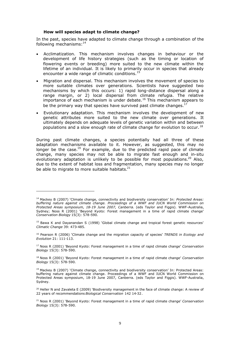#### **How will species adapt to climate change?**

In the past, species have adapted to climate change through a combination of the following mechanisms: $14$ 

- Acclimatization. This mechanism involves changes in behaviour or the development of life history strategies (such as the timing or location of flowering events or breeding) more suited to the new climate within the lifetime of an individual. It is likely to primarily occur in species that already encounter a wide range of climatic conditions.<sup>15</sup>
- Migration and dispersal. This mechanism involves the movement of species to more suitable climates over generations. Scientists have suggested two mechanisms by which this occurs: 1) rapid long-distance dispersal along a range margin, or 2) local dispersal from climate refugia. The relative importance of each mechanism is under debate.<sup>16</sup> This mechanism appears to be the primary way that species have survived past climate changes.<sup>17</sup>
- Evolutionary adaptation. This mechanism involves the development of new genetic attributes more suited to the new climate over generations. It ultimately depends on adequate levels of genetic variation within and between populations and a slow enough rate of climate change for evolution to occur.<sup>18</sup>

During past climate changes, a species potentially had all three of these adaptation mechanisms available to it. However, as suggested, this may no longer be the case.<sup>19</sup> For example, due to the predicted rapid pace of climate change, many species may not be able to migrate fast enough and in-situ evolutionary adaptation is unlikely to be possible for most populations.<sup>20</sup> Also, due to the extent of habitat loss and fragmentation, many species may no longer be able to migrate to more suitable habitats. $21$ 

<sup>14</sup> Mackey B (2007) 'Climate change, connectivity and biodiversity conservation' In: *Protected Areas: buffering nature against climate change. Proceedings of a WWF and IUCN World Commission on Protected Areas symposium, 18-19 June 2007, Canberra.* (eds Taylor and Figgis). WWF-Australia, Sydney; Noss R (2001) 'Beyond Kyoto: Forest management in a time of rapid climate change' *Conservation Biology* 15(3): 578-590.

<sup>&</sup>lt;sup>15</sup> Bawa K and Dayanandan S (1998) 'Global climate change and tropical forest genetic resources' *Climatic Change* 39: 473-485.

<sup>16</sup> Pearson R (2006) 'Climate change and the migration capacity of species' *TRENDS in Ecology and Evolution* 21: 111-113.

<sup>17</sup> Noss R (2001) 'Beyond Kyoto: Forest management in a time of rapid climate change' *Conservation Biology* 15(3): 578-590.

<sup>18</sup> Noss R (2001) 'Beyond Kyoto: Forest management in a time of rapid climate change' *Conservation Biology* 15(3): 578-590.

 $19$  Mackey B (2007) 'Climate change, connectivity and biodiversity conservation' In: Protected Areas: buffering nature against climate change. Proceedings of a WWF and IUCN World Commission on Protected Areas symposium, 18-19 June 2007, Canberra. (eds Taylor and Figgis). WWF-Australia, Sydney.

<sup>&</sup>lt;sup>20</sup> Heller N and Zavaleta E (2009) 'Biodiversity management in the face of climate change: A review of 22 years of recommendations *Biological Conservation* 142 14-32.

<sup>21</sup> Noss R (2001) 'Beyond Kyoto: Forest management in a time of rapid climate change' *Conservation Biology* 15(3): 578-590.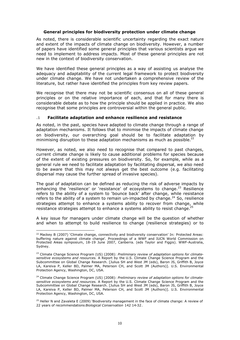#### **General principles for biodiversity protection under climate change**

As noted, there is considerable scientific uncertainty regarding the exact nature and extent of the impacts of climate change on biodiversity. However, a number of papers have identified some general principles that various scientists argue we need to implement to address impacts. Most of these general principles are not new in the context of biodiversity conservation.

We have identified these general principles as a way of assisting us analyse the adequacy and adaptability of the current legal framework to protect biodiversity under climate change. We have not undertaken a comprehensive review of the literature, but rather have identified the principles from key review papers.

We recognise that there may not be scientific consensus on all of these general principles or on the relative importance of each, and that for many there is considerable debate as to how the principle should be applied in practice. We also recognise that some principles are controversial within the general public.

#### **.1 Facilitate adaptation and enhance resilience and resistance**

As noted, in the past, species have adapted to climate change through a range of adaptation mechanisms. It follows that to minimise the impacts of climate change on biodiversity, our overarching goal should be to facilitate adaptation by minimising disruption to these adaptation mechanisms as much as possible. $^{22}$ 

However, as noted, we also need to recognise that compared to past changes, current climate change is likely to cause additional problems for species because of the extent of existing pressures on biodiversity. So, for example, while as a general rule we need to facilitate adaptation by facilitating dispersal, we also need to be aware that this may not always get the best outcome (e.g. facilitating dispersal may cause the further spread of invasive species).

The goal of adaptation can be defined as reducing the risk of adverse impacts by enhancing the 'resilience' or 'resistance' of ecosystems to change.<sup>23</sup> Resilience refers to the ability of a system to 'bounce back' after change, while resistance refers to the ability of a system to remain un-impacted by change.<sup>24</sup> So, resilience strategies attempt to enhance a systems ability to recover from change, while resistance strategies attempt to enhance a systems ability to resist change.<sup>2</sup>

A key issue for managers under climate change will be the question of whether and when to attempt to build resilience to change (resilience strategies) or to

<sup>&</sup>lt;sup>22</sup> Mackey B (2007) 'Climate change, connectivity and biodiversity conservation' In: Protected Areas: buffering nature against climate change'. Proceedings of a WWF and IUCN World Commission on Protected Areas symposium, 18-19 June 2007, Canberra. (eds Taylor and Figgis). WWF-Australia, Sydney.

<sup>&</sup>lt;sup>23</sup> Climate Change Science Program (US) (2008): *Preliminary review of adaptation options for climatesensitive ecosystems and resources.* A Report by the U.S. Climate Change Science Program and the Subcommittee on Global Change Research. [Julius SH and West JM (eds), Baron JS, Griffith B, Joyce LA, Kareiva P, Keller BD, Palmer MA, Peterson CH, and Scott JM (Authors)]. U.S. Environmental Protection Agency, Washington, DC, USA.

<sup>24</sup> Climate Change Science Program (US) (2008): *Preliminary review of adaptation options for climatesensitive ecosystems and resources.* A Report by the U.S. Climate Change Science Program and the Subcommittee on Global Change Research. [Julius SH and West JM (eds), Baron JS, Griffith B, Joyce LA, Kareiva P, Keller BD, Palmer MA, Peterson CH, and Scott JM (Authors)]. U.S. Environmental Protection Agency, Washington, DC, USA.

 $25$  Heller N and Zavaleta E (2009) 'Biodiversity management in the face of climate change: A review of 22 years of recommendations *Biological Conservation* 142 14-32.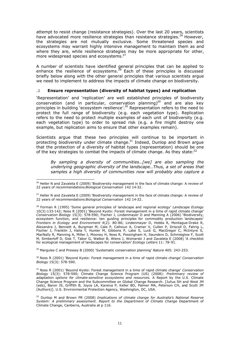attempt to resist change (resistance strategies). Over the last 20 years, scientists have advocated more resilience strategies than resistance strategies.<sup>26</sup> However, the strategies are not mutually exclusive. Some threatened species and ecosystems may warrant highly intensive management to maintain them as and where they are, while resilience strategies may be more appropriate for other, more widespread species and ecosystems.<sup>27</sup>

A number of scientists have identified general principles that can be applied to enhance the resilience of ecosystems.<sup>28</sup> Each of these principles is discussed briefly below along with the other general principles that various scientists argue we need to implement to address the impacts of climate change on biodiversity.

#### **.2 Ensure representation (diversity of habitat types) and replication**

'Representation' and 'replication' are well established principles of biodiversity conservation (and in particular, conservation planning)<sup>29</sup> and are also key principles in building 'ecosystem resilience'.<sup>30</sup> Representation refers to the need to protect the full range of biodiversity (e.g. each vegetation type). Replication refers to the need to protect multiple examples of each unit of biodiversity (e.g. each vegetation type) to order to spread risk (e.g. a fire might destroy one example, but replication aims to ensure that other examples remain).

Scientists argue that these two principles will continue to be important in protecting biodiversity under climate change.<sup>31</sup> Indeed, Dunlop and Brown argue that the protection of a diversity of habitat types (representation) should be one of the key strategies to combat the impacts of climate change. As they state: $32$ 

*By sampling a diversity of communities…[we] are also sampling the underlying geographic diversity of the landscape…Thus, a set of areas that samples a high diversity of communities now will probably also capture a*

<sup>29</sup> Margules C and Pressey B (2000) 'Systematic conservation planning' *Nature* 405: 243-253.

<sup>30</sup> Noss R (2001) 'Beyond Kyoto: Forest management in a time of rapid climate change' *Conservation Biology* 15(3): 578-590.

<sup>&</sup>lt;sup>26</sup> Heller N and Zavaleta E (2009) 'Biodiversity management in the face of climate change: A review of 22 years of recommendations *Biological Conservation* 142 14-32.

 $^{27}$  Heller N and Zavaleta E (2009) 'Biodiversity management in the face of climate change: A review of 22 years of recommendations *Biological Conservation* 142 14-32.

<sup>28</sup> Forman R (1995) 'Some general principles of landscape and regional ecology' *Landscape Ecology* 10(3):133-142; Noss R (2001) 'Beyond Kyoto: Forest management in a time of rapid climate change' *Conservation Biology* 15(3): 578-590; Fischer J, Lindenmayer D and Manning A (2006) 'Biodiversity, ecosystem function, and resilience: ten guiding principles for commodity production landscapes' *Frontiers in Ecology and Environment* 4(2): 80-86; Lindenmayer D, Hobbs R, Montague-Drake R, Alexandra J, Bennett A, Burgman M, Cale P, Calhoun A, Cramer V, Cullen P, Driscoll D, Fahrig L, Fischer J, Franklin J, Haila Y, Hunter M, Gibbons P, Lake S, Luck G, MacGregor C, McIntyre S, MacNally R, Manning A, Miller J, Mooney H, Noss R, Possingham H, Saunders D, Schmieglow F, Scott M, Simberloff D, Sisk T, Tabor G, Walker B, Wiens J, Woinarski J and Zavaleta E (2008) 'A checklist for ecological management of landscapes for conservation' *Ecology Letters* 11: 78-91.

<sup>31</sup> Noss R (2001) 'Beyond Kyoto: Forest management in a time of rapid climate change' *Conservation Biology* 15(3): 578-590; Climate Change Science Program (US) (2008): *Preliminary review of adaptation options for climate-sensitive ecosystems and resources.* A Report by the U.S. Climate Change Science Program and the Subcommittee on Global Change Research. [Julius SH and West JM (eds), Baron JS, Griffith B, Joyce LA, Kareiva P, Keller BD, Palmer MA, Peterson CH, and Scott JM (Authors)]. U.S. Environmental Protection Agency, Washington, DC, USA.

<sup>32</sup> Dunlop M and Brown PR (2008) *Implications of climate change for Australia's National Reserve System: A preliminary assessment. Report to the Department of Climate Change* Department of Climate Change, Canberra, Australia at p 116.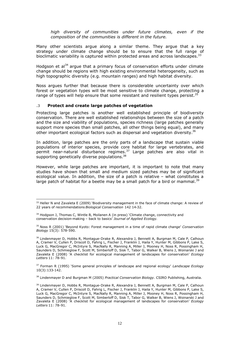*high diversity of communities under future climates, even if the composition of the communities is different in the future.*

Many other scientists argue along a similar theme. They argue that a key strategy under climate change should be to ensure that the full range of bioclimatic variability is captured within protected areas and across landscapes.<sup>33</sup>

Hodgson et al<sup>34</sup> argue that a primary focus of conservation efforts under climate change should be regions with high existing environmental heterogeneity, such as high topographic diversity (e.g. mountain ranges) and high habitat diversity.

Noss argues further that because there is considerable uncertainty over which forest or vegetation types will be most sensitive to climate change, protecting a range of types will help ensure that some resistant and resilient types persist.<sup>35</sup>

#### **.3 Protect and create large patches of vegetation**

Protecting large patches is another well established principle of biodiversity conservation. There are well established relationships between the size of a patch and the size and viability of populations, species richness (large patches generally support more species than small patches, all other things being equal), and many other important ecological factors such as dispersal and vegetation diversity.<sup>36</sup>

In addition, large patches are the only parts of a landscape that sustain viable populations of interior species, provide core habitat for large vertebrates, and permit near-natural disturbance regimes.<sup>37</sup> Large patches are also vital in supporting genetically diverse populations.<sup>38</sup>

However, while large patches are important, it is important to note that many studies have shown that small and medium sized patches may be of significant ecological value. In addition, the size of a patch is relative – what constitutes a large patch of habitat for a beetle may be a small patch for a bird or mammal.<sup>39</sup>

<sup>38</sup> Lindenmayer D and Burgman M (2005) *Practical Conservation Biology.* CSIRO Publishing, Australia.

<sup>&</sup>lt;sup>33</sup> Heller N and Zavaleta E (2009) 'Biodiversity management in the face of climate change: A review of 22 years of recommendations *Biological Conservation* 142 14-32.

<sup>&</sup>lt;sup>34</sup> Hodgson J, Thomas C, Wintle B, Moilanen A (in press) 'Climate change, connectivity and conservation decision-making – back to basics' *Journal of Applied Ecology*.

<sup>35</sup> Noss R (2001) 'Beyond Kyoto: Forest management in a time of rapid climate change' *Conservation Biology* 15(3): 578-590.

 $^{36}$  Lindenmayer D, Hobbs R, Montague-Drake R, Alexandra J, Bennett A, Burgman M, Cale P, Calhoun A, Cramer V, Cullen P, Driscoll D, Fahrig L, Fischer J, Franklin J, Haila Y, Hunter M, Gibbons P, Lake S, Luck G, MacGregor C, McIntyre S, MacNally R, Manning A, Miller J, Mooney H, Noss R, Possingham H, Saunders D, Schmieglow F, Scott M, Simberloff D, Sisk T, Tabor G, Walker B, Wiens J, Woinarski J and Zavaleta E (2008) 'A checklist for ecological management of landscapes for conservation' *Ecology Letters* 11: 78-91.

<sup>37</sup> Forman R (1995) 'Some general principles of landscape and regional ecology' *Landscape Ecology* 10(3):133-142.

<sup>&</sup>lt;sup>39</sup> Lindenmayer D, Hobbs R, Montague-Drake R, Alexandra J, Bennett A, Burgman M, Cale P, Calhoun A, Cramer V, Cullen P, Driscoll D, Fahrig L, Fischer J, Franklin J, Haila Y, Hunter M, Gibbons P, Lake S, Luck G, MacGregor C, McIntyre S, MacNally R, Manning A, Miller J, Mooney H, Noss R, Possingham H, Saunders D, Schmieglow F, Scott M, Simberloff D, Sisk T, Tabor G, Walker B, Wiens J, Woinarski J and Zavaleta E (2008) 'A checklist for ecological management of landscapes for conservation' *Ecology Letters* 11: 78-91.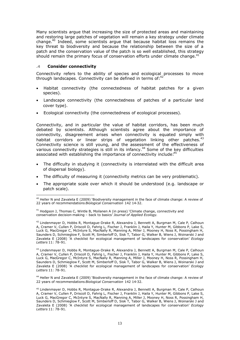Many scientists argue that increasing the size of protected areas and maintaining and restoring large patches of vegetation will remain a key strategy under climate change.<sup>40</sup> Indeed, some scientists argue that because habitat loss remains the key threat to biodiversity and because the relationship between the size of a patch and the conservation value of the patch is so well established, this strategy should remain the primary focus of conservation efforts under climate change. $41$ 

## **.4 Consider connectivity**

Connectivity refers to the ability of species and ecological processes to move through landscapes. Connectivity can be defined in terms of:<sup>42</sup>

- Habitat connectivity (the connectedness of habitat patches for a given species).
- Landscape connectivity (the connectedness of patches of a particular land cover type).
- Ecological connectivity (the connectedness of ecological processes).

Connectivity, and in particular the value of habitat corridors, has been much debated by scientists. Although scientists agree about the importance of connectivity, disagreement arises when connectivity is equated simply with habitat corridors or linear strips of vegetation linking other patches.<sup>43</sup> Connectivity science is still young, and the assessment of the effectiveness of various connectivity strategies is still in its infancy.<sup>44</sup> Some of the key difficulties associated with establishing the importance of connectivity include:<sup>4</sup>

- The difficulty in studying it (connectivity is interrelated with the difficult area of dispersal biology).
- The difficulty of measuring it (connectivity metrics can be very problematic).
- The appropriate scale over which it should be understood (e.g. landscape or patch scale).

<sup>44</sup> Heller N and Zavaleta E (2009) 'Biodiversity management in the face of climate change: A review of 22 years of recommendations *Biological Conservation* 142 14-32.

<sup>&</sup>lt;sup>40</sup> Heller N and Zavaleta E (2009) 'Biodiversity management in the face of climate change: A review of 22 years of recommendations *Biological Conservation* 142 14-32.

 $41$  Hodgson J, Thomas C, Wintle B, Moilanen A (in press) 'Climate change, connectivity and conservation decision-making – back to basics' *Journal of Applied Ecology*.

<sup>&</sup>lt;sup>42</sup> Lindenmayer D, Hobbs R, Montague-Drake R, Alexandra J, Bennett A, Burgman M, Cale P, Calhoun A, Cramer V, Cullen P, Driscoll D, Fahrig L, Fischer J, Franklin J, Haila Y, Hunter M, Gibbons P, Lake S, Luck G, MacGregor C, McIntyre S, MacNally R, Manning A, Miller J, Mooney H, Noss R, Possingham H, Saunders D, Schmieglow F, Scott M, Simberloff D, Sisk T, Tabor G, Walker B, Wiens J, Woinarski J and Zavaleta E (2008) 'A checklist for ecological management of landscapes for conservation' *Ecology Letters* 11: 78-91.

<sup>&</sup>lt;sup>43</sup> Lindenmayer D, Hobbs R, Montague-Drake R, Alexandra J, Bennett A, Burgman M, Cale P, Calhoun A, Cramer V, Cullen P, Driscoll D, Fahrig L, Fischer J, Franklin J, Haila Y, Hunter M, Gibbons P, Lake S, Luck G, MacGregor C, McIntyre S, MacNally R, Manning A, Miller J, Mooney H, Noss R, Possingham H, Saunders D, Schmieglow F, Scott M, Simberloff D, Sisk T, Tabor G, Walker B, Wiens J, Woinarski J and Zavaleta E (2008) 'A checklist for ecological management of landscapes for conservation' *Ecology Letters* 11: 78-91.

<sup>45</sup> Lindenmayer D, Hobbs R, Montague-Drake R, Alexandra J, Bennett A, Burgman M, Cale P, Calhoun A, Cramer V, Cullen P, Driscoll D, Fahrig L, Fischer J, Franklin J, Haila Y, Hunter M, Gibbons P, Lake S, Luck G, MacGregor C, McIntyre S, MacNally R, Manning A, Miller J, Mooney H, Noss R, Possingham H, Saunders D, Schmieglow F, Scott M, Simberloff D, Sisk T, Tabor G, Walker B, Wiens J, Woinarski J and Zavaleta E (2008) 'A checklist for ecological management of landscapes for conservation' *Ecology Letters* 11: 78-91.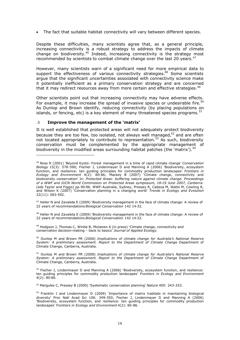The fact that suitable habitat connectivity will vary between different species.

Despite these difficulties, many scientists agree that, as a general principle, increasing connectivity is a robust strategy to address the impacts of climate change on biodiversity.<sup>46</sup> Indeed, increasing connectivity is the strategy most recommended by scientists to combat climate change over the last 20 years.<sup>47</sup>

However, many scientists warn of a significant need for more empirical data to support the effectiveness of various connectivity strategies.<sup>48</sup> Some scientists argue that the significant uncertainties associated with connectivity science make it potentially inefficient as a primary conservation strategy and are concerned that it may redirect resources away from more certain and effective strategies.<sup>49</sup>

Other scientists point out that increasing connectivity may have adverse effects. For example, it may increase the spread of invasive species or undesirable fire.<sup>50</sup> As Dunlop and Brown identify, reducing connectivity (by placing populations on islands, or fencing, etc) is a key element of many threatened species programs.  $51$ 

#### **.5 Improve the management of the 'matrix'**

It is well established that protected areas will not adequately protect biodiversity because they are too few, too isolated, not always well managed, $52$  and are often not located appropriately to contribute to representation.<sup>53</sup> As such, biodiversity conservation must be complemented by the appropriate management of biodiversity in the modified areas surrounding habitat patches (the 'matrix').<sup>54</sup>

<sup>47</sup> Heller N and Zavaleta E (2009) 'Biodiversity management in the face of climate change: A review of 22 years of recommendations *Biological Conservation* 142 14-32.

48 Heller N and Zavaleta E (2009) 'Biodiversity management in the face of climate change: A review of 22 years of recommendations *Biological Conservation* 142 14-32.

<sup>49</sup> Hodgson J, Thomas C, Wintle B, Moilanen A (in press) 'Climate change, connectivity and conservation decision-making – back to basics' *Journal of Applied Ecology*.

<sup>50</sup> Dunlop M and Brown PR (2008) *Implications of climate change for Australia's National Reserve System: A preliminary assessment. Report to the Department of Climate Change* Department of Climate Change, Canberra, Australia.

<sup>51</sup> Dunlop M and Brown PR (2008) *Implications of climate change for Australia's National Reserve System: A preliminary assessment. Report to the Department of Climate Change* Department of Climate Change, Canberra, Australia.

 $^{52}$  Fischer J, Lindenmayer D and Manning A (2006) 'Biodiversity, ecosystem function, and resilience: ten guiding principles for commodity production landscapes' *Frontiers in Ecology and Environment* 4(2): 80-86.

<sup>53</sup> Margules C, Pressey B (2000) 'Systematic conservation planning' *Nature* 405: 243-253.

<sup>54</sup> Franklin J and Lindenmayer D (2009) 'Importance of matrix habitats in maintaining biological diversity' Proc Natl Acad Sci 106: 349-350; Fischer J, Lindenmayer D and Manning A (2006) 'Biodiversity, ecosystem function, and resilience: ten guiding principles for commodity production landscapes' *Frontiers in Ecology and Environment* 4(2): 80-86.

<sup>46</sup> Noss R (2001) 'Beyond Kyoto: Forest management in a time of rapid climate change' *Conservation Biology* 15(3): 578-590; Fischer J, Lindenmayer D and Manning A (2006) 'Biodiversity, ecosystem function, and resilience: ten guiding principles for commodity production landscapes' *Frontiers in Ecology and Environment* 4(2): 80-86; Mackey B (2007) 'Climate change, connectivity and biodiversity conservation' In: *Protected Areas: buffering nature against climate change. Proceedings of a WWF and IUCN World Commission on Protected Areas symposium, 18-19 June 2007, Canberra.* (eds Taylor and Figgis) pp 90-96. WWF-Australia, Sydney; Pressey R, Cabeza M, Watts M, Cowling R, and Wilson K (2007) 'Conservation planning in a changing world' *Trends in Ecology and Evolution* 22(11): 583-592.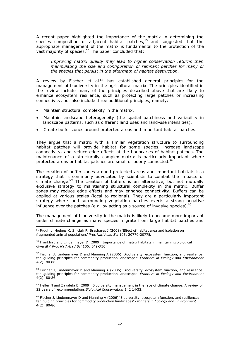A recent paper highlighted the importance of the matrix in determining the species composition of adjacent habitat patches,<sup>55</sup> and suggested that the appropriate management of the matrix is fundamental to the protection of the vast majority of species.<sup>56</sup> The paper concluded that:

*Improving matrix quality may lead to higher conservation returns than manipulating the size and configuration of remnant patches for many of the species that persist in the aftermath of habitat destruction*.

A review by Fischer et al.<sup>57</sup> has established general principles for the management of biodiversity in the agricultural matrix. The principles identified in the review include many of the principles described above that are likely to enhance ecosystem resilience, such as protecting large patches or increasing connectivity, but also include three additional principles, namely:

- Maintain structural complexity in the matrix.
- Maintain landscape heterogeneity (the spatial patchiness and variability in landscape patterns, such as different land uses and land-use intensities).
- Create buffer zones around protected areas and important habitat patches.

They argue that a matrix with a similar vegetation structure to surrounding habitat patches will provide habitat for some species, increase landscape connectivity, and reduce edge effects at the boundaries of habitat patches. The maintenance of a structurally complex matrix is particularly important where protected areas or habitat patches are small or poorly connected.<sup>58</sup>

The creation of buffer zones around protected areas and important habitats is a strategy that is commonly advocated by scientists to combat the impacts of climate change.<sup>59</sup> The creation of buffers is an alternative, but not mutually exclusive strategy to maintaining structural complexity in the matrix. Buffer zones may reduce edge effects and may enhance connectivity. Buffers can be applied at various scales (local to regional). They are a particularly important strategy where land surrounding vegetation patches exerts a strong negative influence over the patches (e.g. by acting as a source of invasive species). $60$ 

The management of biodiversity in the matrix is likely to become more important under climate change as many species migrate from large habitat patches and

<sup>59</sup> Heller N and Zavaleta E (2009) 'Biodiversity management in the face of climate change: A review of 22 years of recommendations *Biological Conservation* 142 14-32.

<sup>&</sup>lt;sup>55</sup> Prugh L, Hodges K, Sinclair R, Brashares J (2008) 'Effect of habitat area and isolation on fragmented animal populations' *Proc Natl Acad Sci* 105: 20770-20775.

<sup>56</sup> Franklin J and Lindenmayer D (2009) 'Importance of matrix habitats in maintaining biological diversity' *Proc Natl Acad Sci* 106: 349-350.

 $57$  Fischer J, Lindenmayer D and Manning A (2006) 'Biodiversity, ecosystem function, and resilience: ten guiding principles for commodity production landscapes' *Frontiers in Ecology and Environment* 4(2): 80-86.

<sup>&</sup>lt;sup>58</sup> Fischer J, Lindenmayer D and Manning A (2006) 'Biodiversity, ecosystem function, and resilience: ten guiding principles for commodity production landscapes' *Frontiers in Ecology and Environment* 4(2): 80-86.

 $60$  Fischer J, Lindenmayer D and Manning A (2006) 'Biodiversity, ecosystem function, and resilience: ten guiding principles for commodity production landscapes' *Frontiers in Ecology and Environment*  $4(2): 80-86.$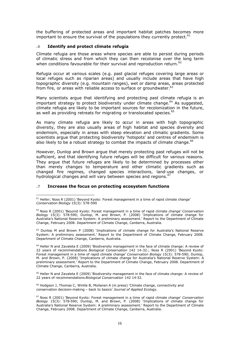the buffering of protected areas and important habitat patches becomes more important to ensure the survival of the populations they currently protect.  $61$ 

## **.6 Identify and protect climate refugia**

Climate refugia are those areas where species are able to persist during periods of climatic stress and from which they can then recolonise over the long term when conditions favourable for their survival and reproduction return.<sup>62</sup>

Refugia occur at various scales (e.g. past glacial refuges covering large areas or local refuges such as riparian areas) and usually include areas that have high topographic diversity (e.g. mountain ranges), wet or damp areas, areas protected from fire, or areas with reliable access to surface or groundwater.<sup>63</sup>

Many scientists argue that identifying and protecting past climate refugia is an important strategy to protect biodiversity under climate change.<sup>64</sup> As suggested, climate refugia are likely to be important sources for recolonization in the future, as well as providing retreats for migrating or translocated species.<sup>65</sup>

As many climate refugia are likely to occur in areas with high topographic diversity, they are also usually areas of high habitat and species diversity and endemism, especially in areas with steep elevation and climatic gradients. Some scientists argue that protecting biodiversity 'hotspots' and centres of endemism is also likely to be a robust strategy to combat the impacts of climate change. $66$ 

However, Dunlop and Brown argue that merely protecting past refuges will not be sufficient, and that identifying future refuges will be difficult for various reasons. They argue that future refuges are likely to be determined by processes other than merely changes to temperature and other climatic gradients such as changed fire regimes, changed species interactions, land-use changes, or hydrological changes and will vary between species and regions.<sup>67</sup>

#### **.7 Increase the focus on protecting ecosystem functions**

<sup>63</sup> Dunlop M and Brown P (2008) 'Implications of climate change for Australia's National Reserve System: A preliminary assessment.' Report to the Department of Climate Change, February 2008. Department of Climate Change, Canberra, Australia.

<sup>64</sup> Heller N and Zavaleta E (2009) 'Biodiversity management in the face of climate change: A review of 22 years of recommendations *Biological Conservation* 142 14-32.; Noss R (2001) 'Beyond Kyoto: Forest management in a time of rapid climate change' *Conservation Biology* 15(3): 578-590; Dunlop, M. and Brown, P. (2008) 'Implications of climate change for Australia's National Reserve System: A preliminary assessment.' Report to the Department of Climate Change, February 2008. Department of Climate Change, Canberra, Australia.

<sup>65</sup> Heller N and Zavaleta E (2009) 'Biodiversity management in the face of climate change: A review of 22 years of recommendations *Biological Conservation* 142 14-32.

 $66$  Hodgson J, Thomas C, Wintle B, Moilanen A (in press) 'Climate change, connectivity and conservation decision-making – back to basics' *Journal of Applied Ecology*.

 $<sup>61</sup>$  Heller; Noss R (2001) 'Beyond Kyoto: Forest management in a time of rapid climate change'</sup> *Conservation Biology* 15(3): 578-590

<sup>62</sup> Noss R (2001) 'Beyond Kyoto: Forest management in a time of rapid climate change' *Conservation Biology* 15(3): 578-590; Dunlop, M. and Brown, P. (2008) 'Implications of climate change for Australia's National Reserve System: A preliminary assessment.' Report to the Department of Climate Change, February 2008. Department of Climate Change, Canberra, Australia.

<sup>67</sup> Noss R (2001) 'Beyond Kyoto: Forest management in a time of rapid climate change' *Conservation Biology* 15(3): 578-590; Dunlop, M. and Brown, P. (2008) 'Implications of climate change for Australia's National Reserve System: A preliminary assessment.' Report to the Department of Climate Change, February 2008. Department of Climate Change, Canberra, Australia.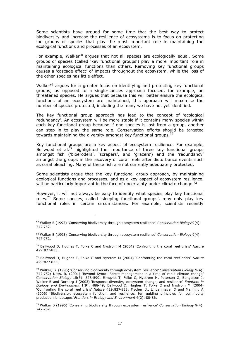Some scientists have argued for some time that the best way to protect biodiversity and increase the resilience of ecosystems is to focus on protecting the groups of species that play the most important role in maintaining the ecological functions and processes of an ecosystem.

For example, Walker<sup>68</sup> argues that not all species are ecologically equal. Some groups of species (called 'key functional groups') play a more important role in maintaining ecological functions than others. Removing key functional groups causes a 'cascade effect' of impacts throughout the ecosystem, while the loss of the other species has little effect.

Walker<sup>69</sup> argues for a greater focus on identifying and protecting key functional groups, as opposed to a single-species approach focused, for example, on threatened species. He argues that because this will better ensure the ecological functions of an ecosystem are maintained, this approach will maximise the number of species protected, including the many we have not yet identified.

The key functional group approach has lead to the concept of 'ecological redundancy'. An ecosystem will be more stable if it contains many species within each key functional group because if one species is lost from a group, another can step in to play the same role. Conservation efforts should be targeted towards maintaining the diversity amongst key functional groups.<sup>70</sup>

Key functional groups are a key aspect of ecosystem resilience. For example, Bellwood et al. $\bar{7}$ <sup>1</sup> highlighted the importance of three key functional groups amongst fish ('bioeroders', 'scrapers', and 'grazers') and the 'redundancy' amongst the groups in the recovery of coral reefs after disturbance events such as coral bleaching. Many of these fish are not currently adequately protected.

Some scientists argue that the key functional group approach, by maintaining ecological functions and processes, and as a key aspect of ecosystem resilience, will be particularly important in the face of uncertainty under climate change.<sup>72</sup>

However, it will not always be easy to identify what species play key functional roles.<sup>73</sup> Some species, called 'sleeping functional groups', may only play key functional roles in certain circumstances. For example, scientists recently

<sup>68</sup> Walker B (1995) 'Conserving biodiversity through ecosystem resilience' *Conservation Biology* 9(4): 747-752.

<sup>69</sup> Walker B (1995) 'Conserving biodiversity through ecosystem resilience' *Conservation Biology* 9(4): 747-752.

<sup>70</sup> Bellwood D, Hughes T, Folke C and Nystrom M (2004) 'Confronting the coral reef crisis' *Nature* 429:827-833.

<sup>71</sup> Bellwood D, Hughes T, Folke C and Nystrom M (2004) 'Confronting the coral reef crisis' *Nature* 429:827-833.

<sup>72</sup> Walker, B. (1995) 'Conserving biodiversity through ecosystem resilience' *Conservation Biology* 9(4): 747-752; Noss, R. (2001) 'Beyond Kyoto: Forest management in a time of rapid climate change' *Conservation Biology* 15(3): 578-590; Elmqvist T, Folke C, Nystrom M, Peterson G, Bengtsson J, Walker B and Norberg J (2003) 'Response diversity, ecosystem change, and resilience' *Frontiers in Ecology and Environment* 1(9): 488-49; Bellwood D, Hughes T, Folke C and Nystrom M (2004) 'Confronting the coral reef crisis' *Nature* 429:827-833; Fischer, J., Lindenmayer D and Manning A (2006) 'Biodiversity, ecosystem function, and resilience: ten guiding principles for commodity production landscapes' *Frontiers in Ecology and Environment* 4(2): 80-86.

<sup>73</sup> Walker B (1995) 'Conserving biodiversity through ecosystem resilience' *Conservation Biology* 9(4): 747-752.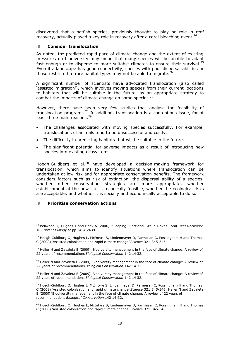discovered that a batfish species, previously thought to play no role in reef recovery, actually played a key role in recovery after a coral bleaching event.<sup>7</sup>

#### **.8 Consider translocation**

As noted, the predicted rapid pace of climate change and the extent of existing pressures on biodiversity may mean that many species will be unable to adapt fast enough or to disperse to more suitable climates to ensure their survival.<sup>7</sup> Even if a landscape has good connectivity, species with poor dispersal abilities or those restricted to rare habitat types may not be able to migrate.<sup>76</sup>

A significant number of scientists have advocated translocation (also called 'assisted migration'), which involves moving species from their current locations to habitats that will be suitable in the future, as an appropriate strategy to combat the impacts of climate change on some species.<sup>77</sup>

However, there have been very few studies that analyse the feasibility of translocation programs.<sup>78</sup> In addition, translocation is a contentious issue, for at least three main reasons:<sup>79</sup>

- The challenges associated with moving species successfully. For example, translocations of animals tend to be unsuccessful and costly.
- The difficultly in predicting habitats that will be suitable in the future.
- The significant potential for adverse impacts as a result of introducing new species into existing ecosystems.

Hoegh-Guldberg et al.<sup>80</sup> have developed a decision-making framework for translocation, which aims to identify situations where translocation can be undertaken at low risk and for appropriate conservation benefits. The framework considers factors such as risk of extinction, the dispersal ability of a species, whether other conservation strategies are more appropriate, whether establishment at the new site is technically feasible, whether the ecological risks are acceptable, and whether it is socially and economically acceptable to do so.

#### **.9 Prioritise conservation actions**

<sup>&</sup>lt;sup>74</sup> Bellwood D, Hughes T and Hoey A (2006) "Sleeping Functional Group Drives Coral-Reef Recovery" 16 *Current Biology* at pp 2434-2439.

 $75$  Hoegh-Guldburg O, Hughes L, McIntyre S, Lindenmayer D, Parmesan C, Possingham H and Thomas C (2008) 'Assisted colonisation and rapid climate change' *Science* 321:345-346.

 $76$  Heller N and Zavaleta E (2009) 'Biodiversity management in the face of climate change: A review of 22 years of recommendations *Biological Conservation* 142 14-32.

<sup>77</sup> Heller N and Zavaleta E (2009) 'Biodiversity management in the face of climate change: A review of 22 years of recommendations *Biological Conservation* 142 14-32.

 $78$  Heller N and Zavaleta E (2009) 'Biodiversity management in the face of climate change: A review of 22 years of recommendations *Biological Conservation* 142 14-32.

 $79$  Hoegh-Guldburg O, Hughes L, McIntyre S, Lindenmayer D, Parmesan C, Possingham H and Thomas C (2008) 'Assisted colonisation and rapid climate change' *Science* 321:345-346; Heller N and Zavaleta E (2009) 'Biodiversity management in the face of climate change: A review of 22 years of recommendations *Biological Conservation* 142 14-32.

<sup>80</sup> Hoegh-Guldburg O, Hughes L, McIntyre S, Lindenmayer D, Parmesan C, Possingham H and Thomas C (2008) 'Assisted colonisation and rapid climate change' *Science* 321:345-346.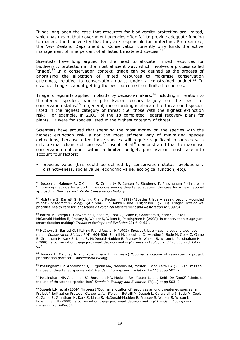It has long been the case that resources for biodiversity protection are limited, which has meant that government agencies often fail to provide adequate funding to manage the biodiversity that they are responsible for protecting. For example, the New Zealand Department of Conservation currently only funds the active management of nine percent of all listed threatened species.<sup>81</sup>

Scientists have long argued for the need to allocate limited resources for biodiversity protection in the most efficient way, which involves a process called 'triage'. $82$  In a conservation context, triage can be defined as the process of prioritising the allocation of limited resources to maximise conservation outcomes, relative to conservation goals, under a constrained budget. $83$  In essence, triage is about getting the best outcome from limited resources.

Triage is regularly applied implicitly by decision-makers, $84$  including in relation to threatened species, where prioritisation occurs largely on the basis of conservation status.<sup>85</sup> In general, more funding is allocated to threatened species listed in the highest category of threat (i.e. those with the highest extinction risk). For example, in 2000, of the 18 completed Federal recovery plans for plants, 17 were for species listed in the highest category of threat.<sup>86</sup>

Scientists have argued that spending the most money on the species with the highest extinction risk is not the most efficient way of minimizing species extinctions, because often these species will require significant resources with only a small chance of success.  $87$  Joseph et al $88$  demonstrated that to maximise conservation outcomes within a limited budget, prioritisation must take into account four factors:

 Species value (this could be defined by conservation status, evolutionary distinctiveness, social value, economic value, ecological function, etc).

83 Bottrill M, Joseph L, Carwardine J, Bode M, Cook C, Game E, Grantham H, Kark S, Linke S, McDonald-Madden E, Pressey R, Walker S, Wilson K, Possingham H (2008) 'Is conservation triage just smart decision making? *Trends in Ecology and Evolution* 23: 649-654.

84 McIntyre S, Barrett G, Kitching R and Recher H (1992) 'Species triage - seeing beyond wounded rhinos' *Conservation Biology* 6(4): 604-606; Bottrill M, Joseph L, Carwardine J, Bode M, Cook C, Game E, Grantham H, Kark S, Linke S, McDonald-Madden E, Pressey R, Walker S, Wilson K, Possingham H (2008) 'Is conservation triage just smart decision making? *Trends in Ecology and Evolution* 23: 649- 654.

<sup>85</sup> Joseph L, Maloney R and Possingham H (in press) 'Optimal allocation of resources: a project prioritisation protocol' *Conservation Biology.*

86 Possingham HP, Andelman SJ, Burgman MA, Medellin RA, Master LL and Keith DA (2002) "Limits to the use of threatened species lists" *Trends in Ecology and Evolution* 17(11) at pp 503–7.

87 Possingham HP, Andelman SJ, Burgman MA, Medellin RA, Master LL and Keith DA (2002) "Limits to the use of threatened species lists" *Trends in Ecology and Evolution* 17(11) at pp 503–7.

88 Joseph L.N. et al (2009) (in press) 'Optimal allocation of resources among threatened species: a Project Prioritization Protocol' *Conservation Biology*; Bottrill M, Joseph L, Carwardine J, Bode M, Cook C, Game E, Grantham H, Kark S, Linke S, McDonald-Madden E, Pressey R, Walker S, Wilson K, Possingham H (2008) 'Is conservation triage just smart decision making? *Trends in Ecology and Evolution* 23: 649-654.

<sup>&</sup>lt;sup>81</sup> Joseph L, Maloney R, O'Conner S, Cromarty P, Jansen P, Stephens T, Possingham P (in press) 'Improving methods for allocating resources among threatened species: the case for a new national approach in New Zealand' *Pacific Conservation Biology.*

 $82$  McIntyre S, Barrett G, Kitching R and Recher H (1992) 'Species triage – seeing beyond wounded rhinos' *Conservation Biology* 6(4): 604-606; Hobbs R and Kristjanson L (2003) 'Triage: How do we prioritise health care for landscapes?' *Ecological Management and Restoration* 4: S39-S4.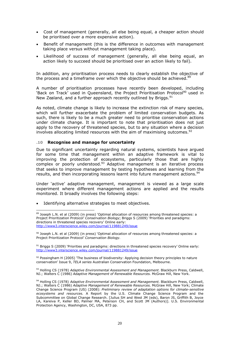- Cost of management (generally, all else being equal, a cheaper action should be prioritised over a more expensive action).
- Benefit of management (this is the difference in outcomes with management taking place versus without management taking place).
- Likelihood of success of management (generally, all else being equal, an action likely to succeed should be prioritised over an action likely to fail).

In addition, any prioritisation process needs to clearly establish the objective of the process and a timeframe over which the objective should be achieved. $89$ 

A number of prioritisation processes have recently been developed, including 'Back on Track' used in Queensland, the Project Prioritisation Protocol<sup>90</sup> used in New Zealand, and a further approach recently outlined by Briggs.<sup>91</sup>

As noted, climate change is likely to increase the extinction risk of many species, which will further exacerbate the problem of limited conservation budgets. As such, there is likely to be a much greater need to prioritise conservation actions under climate change. It is important to note that prioritisation does not just apply to the recovery of threatened species, but to any situation where a decision involves allocating limited resources with the aim of maximising outcomes.<sup>92</sup>

## **.10 Recognise and manage for uncertainty**

Due to significant uncertainty regarding natural systems, scientists have argued for some time that management within an adaptive framework is vital to improving the protection of ecosystems, particularly those that are highly complex or poorly understood.<sup>93</sup> Adaptive management is an iterative process that seeks to improve management by testing hypotheses and learning from the results, and then incorporating lessons learnt into future management actions.<sup>94</sup>

Under 'active' adaptive management, management is viewed as a large scale experiment where different management actions are applied and the results monitored. It broadly involves the following steps:

Identifying alternative strategies to meet objectives.

90 Joseph L.N. et al (2009) (in press) 'Optimal allocation of resources among threatened species: a Project Prioritization Protocol' *Conservation Biology.*

91 Briggs S (2009) 'Priorities and paradigms: directions in threatened species recovery' Online early: http://www3.interscience.wiley.com/journal/119881249/issue

92 Possingham H (2005) 'The business of biodiversity: Applying decision theory principles to nature conservation' Issue 9, *TELA series* Australian Conservation Foundation, Melbourne.

<sup>93</sup> Holling CS (1978) *Adaptive Environmental Assessment and Management*. Blackburn Press, Caldwell, NJ.; Walters C (1986) *Adaptive Management of Renewable Resources*. McGraw Hill, New York.

<sup>94</sup> Holling CS (1978) *Adaptive Environmental Assessment and Management*. Blackburn Press, Caldwell, NJ.; Walters C (1986) *Adaptive Management of Renewable Resources*. McGraw Hill, New York; Climate Change Science Program (US) (2008): *Preliminary review of adaptation options for climate-sensitive ecosystems and resources.* A Report by the U.S. Climate Change Science Program and the Subcommittee on Global Change Research. [Julius SH and West JM (eds), Baron JS, Griffith B, Joyce LA, Kareiva P, Keller BD, Palmer MA, Peterson CH, and Scott JM (Authors)]. U.S. Environmental Protection Agency, Washington, DC, USA, 873 pp.

<sup>89</sup> Joseph L.N. et al (2009) (in press) 'Optimal allocation of resources among threatened species: a Project Prioritization Protocol' *Conservation Biology*; Briggs S (2009) 'Priorities and paradigms: directions in threatened species recovery' Online early: http://www3.interscience.wiley.com/journal/119881249/issue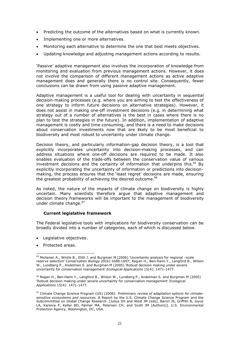- Predicting the outcome of the alternatives based on what is currently known.
- Implementing one or more alternatives.
- Monitoring each alternative to determine the one that best meets objectives.
- Updating knowledge and adjusting management actions according to results.

'Passive' adaptive management also involves the incorporation of knowledge from monitoring and evaluation from previous management actions. However, it does not involve the comparison of different management actions as active adaptive management does and generally there is no control site. Consequently, fewer conclusions can be drawn from using passive adaptive management.

Adaptive management is a useful tool for dealing with uncertainty in sequential decision-making processes (e.g. where you are aiming to test the effectiveness of one strategy to inform future decisions on alternative strategies). However, it does not assist in making one-off investment decisions (e.g. in determining what strategy out of a number of alternatives is the best in cases where there is no plan to test the strategies in the future). In addition, implementation of adaptive management is costly and time consuming, and there is a need to make decisions about conservation investments now that are likely to be most beneficial to biodiversity and most robust to uncertainty under climate change.

Decision theory, and particularly information-gap decision theory, is a tool that explicitly incorporates uncertainty into decision-making processes, and can address situations where one-off decisions are required to be made. It also enables evaluation of the trade-offs between the conservation value of various investment decisions and the certainty of information that underpins this. $95$  By explicitly incorporating the uncertainty of information or predictions into decisionmaking, the process ensures that the 'least regret' decisions are made, ensuring the greatest probability of achieving the desired outcome.<sup>96</sup>

As noted, the nature of the impacts of climate change on biodiversity is highly uncertain. Many scientists therefore argue that adaptive management and decision theory frameworks will be important to the management of biodiversity under climate change.<sup>97</sup>

#### **Current legislative framework**

The Federal legislative tools with implications for biodiversity conservation can be broadly divided into a number of categories, each of which is discussed below.

- Legislative objectives.
- Protected areas.

 $95$  Moilanen A., Wintle B., Elith J. and Burgman M (2006) 'Uncertainty analysis for regional -scale reserve selection' *Conservation Biology* 20(6):1688-1697; Regan H., Ben-Haim Y., Langford B., Wilson W., Lundberg P., Andelman S. and Burgman M (2005) 'Robust decision making under severe uncertainty for conservation management' *Ecological Applications* 15(4): 1471-1477.

<sup>96</sup> Regan H., Ben-Haim Y., Langford B., Wilson W., Lundberg P., Andelman S. and Burgman M (2005) 'Robust decision making under severe uncertainty for conservation management' *Ecological Applications* 15(4): 1471-1477.

<sup>97</sup> Climate Change Science Program (US) (2008): *Preliminary review of adaptation options for climatesensitive ecosystems and resources.* A Report by the U.S. Climate Change Science Program and the Subcommittee on Global Change Research. [Julius SH and West JM (eds), Baron JS, Griffith B, Joyce LA, Kareiva P, Keller BD, Palmer MA, Peterson CH, and Scott JM (Authors)]. U.S. Environmental Protection Agency, Washington, DC, USA.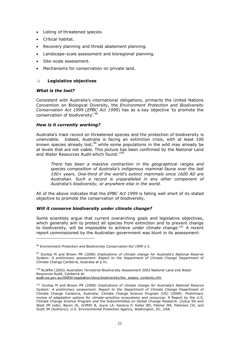- Listing of threatened species.
- Critical habitat.
- Recovery planning and threat abatement planning.
- Landscape-scale assessment and bioregional planning.
- Site-scale assessment.
- Mechanisms for conservation on private land.

# **.1 Legislative objectives**

#### *What is the tool?*

Consistent with Australia's international obligations, primarily the United Nations Convention on Biological Diversity, the *Environment Protection and Biodiversity Conservation Act 1999* (*EPBC Act 1999*) has as a key objective 'to promote the conservation of biodiversity'.<sup>98</sup>

#### *How is it currently working?*

Australia's track record on threatened species and the protection of biodiversity is unenviable. Indeed, Australia is facing an extinction crisis, with at least 100 known species already lost,  $99$  while some populations in the wild may already be at levels that are not viable. This picture has been confirmed by the National Land and Water Resources Audit which found: *100*

*There has been a massive contraction in the geographical ranges and species composition of Australia's indigenous mammal fauna over the last 100+ years. One-third of the world's extinct mammals since 1600 AD are Australian. Such a record is unparalleled in any other component of Australia's biodiversity, or anywhere else in the world.*

All of the above indicates that the *EPBC Act 1999* is falling well short of its stated objective to promote the conservation of biodiversity.

#### *Will it conserve biodiversity under climate change?*

Some scientists argue that current overarching goals and legislative objectives, which generally aim to protect all species from extinction and to prevent change to biodiversity, will be impossible to achieve under climate change.<sup>101</sup> A recent report commissioned by the Australian government was blunt in its assessment:

<sup>100</sup> NLWRA (2002) *Australian Terrestrial Biodiversity Assessment 2002* National Land and Water Resources Audit, Canberra at: audit.ea.gov.au/ANRA/vegetation/docs/biodiversity/bio\_assess\_contents.cfm

<sup>98</sup> *Environment Protection and Biodiversity Conservation Act 1999* s 3.

<sup>99</sup> Dunlop M and Brown PR (2008) *Implications of climate change for Australia's National Reserve System: A preliminary assessment. Report to the Department of Climate Change* Department of Climate Change Canberra, Australia at p 41.

<sup>101</sup> Dunlop M and Brown PR (2008) *Implications of climate change for Australia's National Reserve System: A preliminary assessment. Report to the Department of Climate Change* Department of Climate Change Canberra, Australia; Climate Change Science Program (US) (2008): *Preliminary review of adaptation options for climate-sensitive ecosystems and resources.* A Report by the U.S. Climate Change Science Program and the Subcommittee on Global Change Research. [Julius SH and West JM (eds), Baron JS, Griffith B, Joyce LA, Kareiva P, Keller BD, Palmer MA, Peterson CH, and Scott JM (Authors)]. U.S. Environmental Protection Agency, Washington, DC, USA.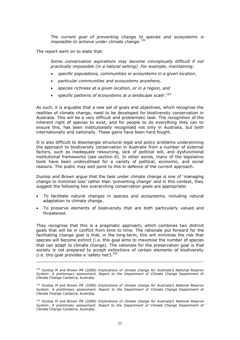*The current goal of preventing change to species and ecosystems is impossible to achieve under climate change.<sup>102</sup>*

The report went on to state that:

*Some…conservation aspirations may become conceptually difficult if not practically impossible (in a natural setting). For example, maintaining:*

- *specific populations, communities or ecosystems in a given location,*
- *particular communities and ecosystems anywhere,*
- *species richness at a given location, or in a region, and*
- *specific patterns of ecosystems at a landscape scale'.<sup>103</sup>*

As such, it is arguable that a new set of goals and objectives, which recognise the realities of climate change, need to be developed for biodiversity conservation in Australia. This will be a very difficult and problematic task. The recognition of the inherent right of species to exist, and for people to do everything they can to ensure this, has been institutionally recognised not only in Australia, but both internationally and nationally. These gains have been hard fought.

It is also difficult to disentangle structural legal and policy problems underpinning the approach to biodiversity conservation in Australia from a number of external factors, such as inadequate resourcing, lack of political will, and dysfunctional institutional frameworks (see section 6). In other words, many of the legislative tools have been underutilised for a variety of political, economic, and social reasons. The public may well point to this in defence of the current approach.

Dunlop and Brown argue that the task under climate change is one of 'managing change to minimise loss' rather than 'preventing change' and in this context, they suggest the following two overarching conservation goals are appropriate:

- To facilitate natural changes in species and ecosystems, including natural adaptation to climate change.
- To preserve elements of biodiversity that are both particularly valued and threatened.

They recognise that this is a pragmatic approach, which combines two distinct goals that will be in conflict from time to time. The rationale put forward for the facilitating change goal is that, in the long-term, this will minimise the risk that species will become extinct (i.e. this goal aims to maximise the number of species that can adapt to climate change). The rationale for the preservation goal is that society is not prepared to accept extinctions of certain elements of biodiversity (i.e. this goal provides a 'safety net'). $^{104}$ 

<sup>102</sup> Dunlop M and Brown PR (2008) *Implications of climate change for Australia's National Reserve System: A preliminary assessment. Report to the Department of Climate Change* Department of Climate Change Canberra, Australia.

<sup>103</sup> Dunlop M and Brown PR (2008) *Implications of climate change for Australia's National Reserve System: A preliminary assessment. Report to the Department of Climate Change* Department of Climate Change Canberra, Australia.

<sup>104</sup> Dunlop M and Brown PR (2008) *Implications of climate change for Australia's National Reserve System: A preliminary assessment. Report to the Department of Climate Change* Department of Climate Change Canberra, Australia.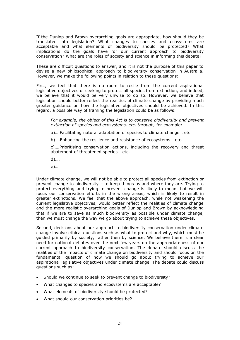If the Dunlop and Brown overarching goals are appropriate, how should they be translated into legislation? What changes to species and ecosystems are acceptable and what elements of biodiversity should be protected? What implications do the goals have for our current approach to biodiversity conservation? What are the roles of society and science in informing this debate?

These are difficult questions to answer, and it is not the purpose of this paper to devise a new philosophical approach to biodiversity conservation in Australia. However, we make the following points in relation to these questions:

First, we feel that there is no room to resile from the current aspirational legislative objectives of seeking to protect all species from extinction, and indeed, we believe that it would be very unwise to do so. However, we believe that legislation should better reflect the realities of climate change by providing much greater guidance on how the legislative objectives should be achieved. In this regard, a possible way of framing the legislation could be as follows:

*For example, the object of this Act is to conserve biodiversity and prevent extinction of species and ecosystems, etc, through,* for example:

a)….Facilitating natural adaptation of species to climate change… etc.

b)….Enhancing the resilience and resistance of ecosystems… etc.

c)….Prioritising conservation actions, including the recovery and threat abatement of threatened species… etc.

- d)….
- e)….

Under climate change, we will not be able to protect all species from extinction or prevent change to biodiversity – to keep things as and where they are. Trying to protect everything and trying to prevent change is likely to mean that we will focus our conservation efforts in the wrong areas, which is likely to result in greater extinctions. We feel that the above approach, while not weakening the current legislative objectives, would better reflect the realities of climate change and the more realistic overarching goals of Dunlop and Brown by acknowledging that if we are to save as much biodiversity as possible under climate change, then we must change the way we go about trying to achieve these objectives.

Second, decisions about our approach to biodiversity conservation under climate change involve ethical questions such as what to protect and why, which must be guided primarily by society, rather then by science. We believe there is a clear need for national debates over the next few years on the appropriateness of our current approach to biodiversity conservation. The debate should discuss the realities of the impacts of climate change on biodiversity and should focus on the fundamental question of how we should go about trying to achieve our aspirational legislative objectives under climate change. The debate could discuss questions such as:

- Should we continue to seek to prevent change to biodiversity?
- What changes to species and ecosystems are acceptable?
- What elements of biodiversity should be protected?
- What should our conservation priorities be?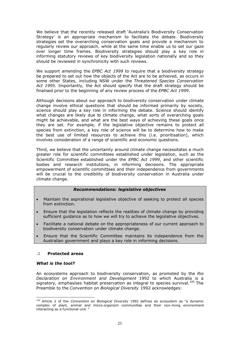We believe that the recently released draft 'Australia's Biodiversity Conservation Strategy' is an appropriate mechanism to facilitate the debate. Biodiversity strategies set the overarching conservation goals and provide a mechanism to regularly review our approach, while at the same time enable us to set our gaze over longer time frames. Biodiversity strategies should play a key role in informing statutory reviews of key biodiversity legislation nationally and so they should be reviewed in synchronicity with such reviews.

We support amending the *EPBC Act 1999* to require that a biodiversity strategy be prepared to set out how the objects of the Act are to be achieved, as occurs in some other States, including NSW under the *Threatened Species Conservation Act 1995*. Importantly, the Act should specify that the draft strategy should be finalised prior to the beginning of any review process of the *EPBC Act 1999*.

Although decisions about our approach to biodiversity conservation under climate change involve ethical questions that should be informed primarily by society, science should play a key role in informing the debate. Science should identify what changes are likely due to climate change, what sorts of overarching goals might be achievable, and what are the best ways of achieving these goals once they are set. For example, if the legislative objective remains to protect all species from extinction, a key role of science will be to determine how to make the best use of limited resources to achieve this (i.e. prioritisation), which involves consideration of a range of scientific and economic questions.

Third, we believe that the uncertainty around climate change necessitates a much greater role for scientific committees established under legislation, such as the Scientific Committee established under the *EPBC Act 1999*, and other scientific bodies and research institutions, in informing decisions. The appropriate empowerment of scientific committees and their independence from governments will be crucial to the credibility of biodiversity conservation in Australia under climate change.

#### *Recommendations: legislative objectives*

- Maintain the aspirational legislative objective of seeking to protect all species from extinction.
- Ensure that the legislation reflects the realities of climate change by providing sufficient guidance as to how we will try to achieve the legislative objectives.
- Facilitate a national debate on the appropriateness of our current approach to biodiversity conservation under climate change.
- Ensure that the Scientific Committee maintains its independence from the Australian government and plays a key role in informing decisions.

#### **.2 Protected areas**

#### *What is the tool?*

An ecosystems approach to biodiversity conservation, as promoted by the *Rio Declaration on Environment and Development* 1992 to which Australia is a signatory, emphasises habitat preservation as integral to species survival.<sup>105</sup> The Preamble to the *Convention on Biological Diversity* 1992 acknowledges:

<sup>105</sup> Article 2 of the *Convention on Biological Diversity* 1992 defines an ecosystem as "a dynamic complex of plant, animal and micro-organism communities and their non-living environment interacting as a functional unit. "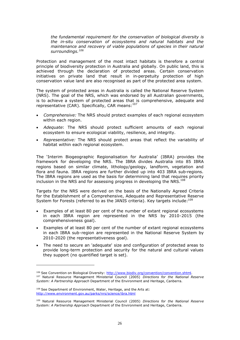*the fundamental requirement for the conservation of biological diversity is the in-situ conservation of ecosystems and natural habitats and the maintenance and recovery of viable populations of species in their natural surroundings.<sup>106</sup>*

Protection and management of the most intact habitats is therefore a central principle of biodiversity protection in Australia and globally. On public land, this is achieved through the declaration of protected areas. Certain conservation initiatives on private land that result in in-perpetuity protection of high conservation value land are also recognised as part of the protected area system.

The system of protected areas in Australia is called the National Reserve System (NRS). The goal of the NRS, which was endorsed by all Australian governments, is to achieve a system of protected areas that is comprehensive, adequate and representative (CAR). Specifically, CAR means: 107

- *Comprehensive:* The NRS should protect examples of each regional ecosystem within each region.
- *Adequate*: The NRS should protect sufficient amounts of each regional ecosystem to ensure ecological viability, resilience, and integrity.
- *Representative:* The NRS should protect areas that reflect the variability of habitat within each regional ecosystem.

The 'Interim Biogeographic Regionalisation for Australia' (IBRA) provides the framework for developing the NRS. The IBRA divides Australia into 85 IBRA regions based on similar climate, lithology/geology, landform, vegetation and flora and fauna. IBRA regions are further divided up into 403 IBRA sub-regions. The IBRA regions are used as the basis for determining land that requires priority inclusion in the NRS and for assessing progress in developing the NRS.<sup>108</sup>

Targets for the NRS were derived on the basis of the Nationally Agreed Criteria for the Establishment of a Comprehensive, Adequate and Representative Reserve System for Forests (referred to as the JANIS criteria). Key targets include:<sup>109</sup>

- Examples of at least 80 per cent of the number of extant regional ecosystems in each IBRA region are represented in the NRS by 2010-2015 (the comprehensiveness goal).
- Examples of at least 80 per cent of the number of extant regional ecosystems in each IBRA sub-region are represented in the National Reserve System by 2010-2020 (the representativeness goal).
- The need to secure an 'adequate' size and configuration of protected areas to provide long-term protection and security for the natural and cultural values they support (no quantified target is set).

<sup>&</sup>lt;sup>106</sup> See Convention on Biological Diversity: http://www.biodiv.org/convention/convention.shtml. <sup>107</sup> Natural Resource Management Ministerial Council (2005) *Directions for the National Reserve System: A Partnership Approach* Department of the Environment and Heritage, Canberra.

<sup>&</sup>lt;sup>108</sup> See Department of Environment, Water, Heritage, and the Arts at: http://www.environment.gov.au/parks/nrs/science/ibra.html

<sup>109</sup> Natural Resource Management Ministerial Council (2005) *Directions for the National Reserve System: A Partnership Approach* Department of the Environment and Heritage, Canberra.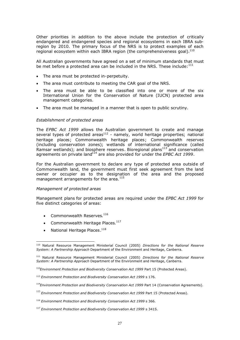Other priorities in addition to the above include the protection of critically endangered and endangered species and regional ecosystems in each IBRA subregion by 2010. The primary focus of the NRS is to protect examples of each regional ecosystem within each IBRA region (the comprehensiveness goal).<sup>110</sup>

All Australian governments have agreed on a set of minimum standards that must be met before a protected area can be included in the NRS. These include: $111$ 

- The area must be protected in-perpetuity.
- The area must contribute to meeting the CAR goal of the NRS.
- The area must be able to be classified into one or more of the six International Union for the Conservation of Nature (IUCN) protected area management categories.
- The area must be managed in a manner that is open to public scrutiny.

#### *Establishment of protected areas*

The *EPBC Act 1999* allows the Australian government to create and manage several types of protected areas $^{112}$  - namely, world heritage properties; national heritage places; Commonwealth heritage places; Commonwealth reserves (including conservation zones); wetlands of international significance (called Ramsar wetlands); and biosphere reserves. Bioregional plans<sup>113</sup> and conservation agreements on private land<sup>114</sup> are also provided for under the *EPBC Act 1999*.

For the Australian government to declare any type of protected area outside of Commonwealth land, the government must first seek agreement from the land owner or occupier as to the designation of the area and the proposed management arrangements for the area.<sup>115</sup>

#### *Management of protected areas*

Management plans for protected areas are required under the *EPBC Act 1999* for five distinct categories of areas:

- Commonwealth Reserves.<sup>116</sup>
- Commonwealth Heritage Places. $^{117}$
- National Heritage Places. $^{118}$

<sup>110</sup> Natural Resource Management Ministerial Council (2005) *Directions for the National Reserve System: A Partnership Approach* Department of the Environment and Heritage, Canberra.

<sup>111</sup> Natural Resource Management Ministerial Council (2005) *Directions for the National Reserve System: A Partnership Approach* Department of the Environment and Heritage, Canberra.

<sup>112</sup>*Environment Protection and Biodiversity Conservation Act 1999* Part 15 (Protected Areas).

<sup>113</sup> *Environment Protection and Biodiversity Conservation Act 1999* s 176.

<sup>114</sup>*Environment Protection and Biodiversity Conservation Act 1999* Part 14 (Conservation Agreements).

<sup>115</sup> *Environment Protection and Biodiversity Conservation Act 1999* Part 15 (Protected Areas).

<sup>116</sup> *Environment Protection and Biodiversity Conservation Act 1999* s 366.

<sup>117</sup> *Environment Protection and Biodiversity Conservation Act 1999* s 341S.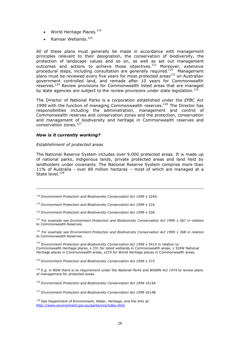- World Heritage Places.  $^{119}$
- Ramsar Wetlands.<sup>120</sup>

All of these plans must generally be made in accordance with management principles relevant to their designation, the conservation of biodiversity, the protection of landscape values and so on, as well as set out management outcomes and actions to achieve those objectives.<sup>121</sup> Moreover, extensive procedural steps, including consultation are generally required.<sup>122</sup> Management plans must be reviewed every five years for most protected areas $^{123}$  on Australian government controlled land, and remade after 10 years for Commonwealth reserves.<sup>124</sup> Review provisions for Commonwealth listed areas that are managed by state agencies are subject to the review provisions under state legislation.<sup>125</sup>

The Director of National Parks is a corporation established under the *EPBC Act* 1999 with the function of managing Commonwealth reserves.<sup>126</sup> The Director has responsibilities including the administration, management and control of Commonwealth reserves and conservation zones and the protection, conservation and management of biodiversity and heritage in Commonwealth reserves and conservation zones.<sup>127</sup>

#### *How is it currently working?*

#### *Establishment of protected areas*

The National Reserve System includes over 9,000 protected areas. It is made up of national parks, indigenous lands, private protected areas and land held by landholders under covenants. The National Reserve System comprise more than 11% of Australia - over 89 million hectares – most of which are managed at a State level.<sup>128</sup>

<sup>118</sup> *Environment Protection and Biodiversity Conservation Act 1999* s 324S.

<sup>119</sup> *Environment Protection and Biodiversity Conservation Act 1999* s 316.

<sup>120</sup> *Environment Protection and Biodiversity Conservation Act 1999* s 328.

<sup>121</sup> For example see *Environment Protection and Biodiversity Conservation Act 1999* s 367 in relation to Commonwealth Reserves.

<sup>122</sup> For example see *Environment Protection and Biodiversity Conservation Act 1999* s 368 in relation to Commonwealth Reserves.

<sup>123</sup> *Environment Protection and Biodiversity Conservation Act 1999* s 341X in relation to Commonwealth Heritage places, s 331 for listed wetlands in Commonwealth areas, s 324W National Heritage places in Commonwealth areas, s319 for World Heritage places in Commonwealth areas.

<sup>124</sup> *Environment Protection and Biodiversity Conservation Act 1999* s 373

<sup>125</sup> E.g. in NSW there is no requirement under the *National Parks and Wildlife Act 1974* to review plans of management for protected areas.

<sup>126</sup> *Environment Protection and Biodiversity Conservation Act 1999* s514A

<sup>127</sup> *Environment Protection and Biodiversity Conservation Act 1999* s514B

128 See Department of Environment, Water, Heritage, and the Arts at: http://www.environment.gov.au/parks/nrs/index.html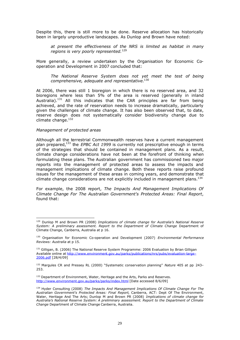Despite this, there is still more to be done. Reserve allocation has historically been in largely unproductive landscapes. As Dunlop and Brown have noted:

*at present the effectiveness of the NRS is limited as habitat in many regions is very poorly represented.*<sup>129</sup>

More generally, a review undertaken by the Organisation for Economic Cooperation and Development in 2007 concluded that:

*The National Reserve System does not yet meet the test of being comprehensive, adequate and representative.*<sup>130</sup>

At 2006, there was still 1 bioregion in which there is no reserved area, and 32 bioregions where less than 5% of the area is reserved (generally in inland Australia).<sup>131</sup> All this indicates that the CAR principles are far from being achieved, and the rate of reservation needs to increase dramatically, particularly given the challenges of climate change. It has also been observed that, to date, reserve design does not systematically consider biodiversity change due to climate change.<sup>132</sup>

#### *Management of protected areas*

Although all the terrestrial Commonwealth reserves have a current management plan prepared,<sup>133</sup> the *EPBC Act 1999* is currently not prescriptive enough in terms of the strategies that should be contained in management plans. As a result, climate change considerations have not been at the forefront of thinking when formulating these plans. The Australian government has commissioned two major reports into the management of protected areas to assess the impacts and management implications of climate change. Both these reports raise profound issues for the management of these areas in coming years, and demonstrate that climate change considerations are not explicitly included in management plans.<sup>134</sup>

For example, the 2008 report, *The Impacts And Management Implications Of Climate Change For The Australian Government's Protected Areas: Final Report*, found that:

<sup>129</sup> Dunlop M and Brown PR (2008) *Implications of climate change for Australia's National Reserve System: A preliminary assessment. Report to the Department of Climate Change* Department of Climate Change, Canberra, Australia at p 16.

<sup>130</sup> Organisation for Economic Co-operation and Development (2007) *Environmental Performance Reviews: Australia* at p 15.

<sup>&</sup>lt;sup>131</sup> Gilligan, B. (2006) The National Reserve System Programme: 2006 Evaluation by Brian Gilligan Available online at http://www.environment.gov.au/parks/publications/nrs/pubs/evaluation-large-2006.pdf [28/4/09]

<sup>132</sup> Margules CR and Pressey RL (2000) "Systematic conservation planning" *Nature* 405 at pp 243– 253.

<sup>&</sup>lt;sup>133</sup> Department of Environment, Water, Heritage and the Arts, Parks and Reserves. http://www.environment.gov.au/parks/parks/index.html [Date accessed 8/6/09]

<sup>134</sup> Hyder Consulting (2008) *The Impacts And Management Implications Of Climate Change For The Australian Government's Protected Areas: Final Report*, Canberra, ACT: Dept Of The Environment, Water, Heritage And The Arts; Dunlop M and Brown PR (2008) *Implications of climate change for Australia's National Reserve System: A preliminary assessment. Report to the Department of Climate Change* Department of Climate Change Canberra, Australia.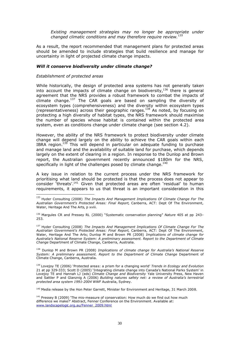*Existing management strategies may no longer be appropriate under changed climatic conditions and may therefore require review.<sup>135</sup>*

As a result, the report recommended that management plans for protected areas should be amended to include strategies that build resilience and manage for uncertainty in light of projected climate change impacts.

#### *Will it conserve biodiversity under climate change?*

#### *Establishment of protected areas*

While historically, the design of protected area systems has not generally taken into account the impacts of climate change on biodiversity, $136$  there is general agreement that the NRS provides a robust framework to combat the impacts of  $c$ limate change.<sup>137</sup> The CAR goals are based on sampling the diversity of ecosystem types (comprehensiveness) and the diversity within ecosystem types (representativeness) across their geographic ranges.<sup>138</sup> As noted, by focusing on protecting a high diversity of habitat types, the NRS framework should maximise the number of species whose habitat is contained within the protected area system, even as conditions change under climate change (see section 4.2).

However, the ability of the NRS framework to protect biodiversity under climate change will depend largely on the ability to achieve the CAR goals within each IBRA region.<sup>139</sup> This will depend in particular on adequate funding to purchase and manage land and the availability of suitable land for purchase, which depends largely on the extent of clearing in a region. In response to the Dunlop and Brown report, the Australian government recently announced \$180m for the NRS, specifically in light of the challenges posed by climate change.<sup>140</sup>

A key issue in relation to the current process under the NRS framework for prioritising what land should be protected is that the process does not appear to consider 'threats'.<sup>141</sup> Given that protected areas are often 'residual' to human requirements, it appears to us that threat is an important consideration in this

<sup>137</sup> Hyder Consulting (2008) *The Impacts And Management Implications Of Climate Change For The Australian Government's Protected Areas: Final Report*, Canberra, ACT: Dept Of The Environment, Water, Heritage And The Arts; Dunlop M and Brown PR (2008) *Implications of climate change for Australia's National Reserve System: A preliminary assessment. Report to the Department of Climate Change* Department of Climate Change, Canberra, Australia.

<sup>138</sup> Dunlop M and Brown PR (2008) *Implications of climate change for Australia's National Reserve System: A preliminary assessment. Report to the Department of Climate Change* Department of Climate Change, Canberra, Australia.

<sup>139</sup> Lovejoy TE (2006) 'Protected areas: a prism for a changing world' *Trends in Ecology and Evolution* 21 at pp 329-333; Scott D (2005) 'Integrating climate change into Canada's National Parks System' in Lovejoy TE and Hannah LJ (eds) *Climate Change and Biodiversity* Yale University Press, New Haven and Sattler P and Glanznig A (2006) *Building natures safety net: a review of Australia's terrestrial protected area system 1991-2004* WWF Australia, Sydney.

<sup>140</sup> Media release by the Hon Peter Garrett, Minister for Environment and Heritage, 31 March 2008.

<sup>135</sup> Hyder Consulting (2008) *The Impacts And Management Implications Of Climate Change For The Australian Government's Protected Areas: Final Report*, Canberra, ACT: Dept Of The Environment, Water, Heritage And The Arts, p xviii.

<sup>136</sup> Margules CR and Pressey RL (2000) "Systematic conservation planning" *Nature* 405 at pp 243– 253.

 $141$  Pressey B (2009) 'The mis-measure of conservation: How much do we find out how much difference we make?' Abstract, Fenner Conference on the Environment. Available at: www.landscapelogic.org.au/Fenner\_2009.html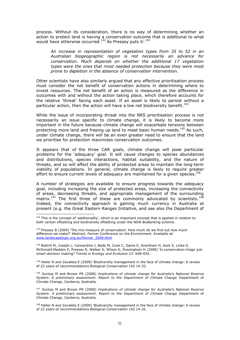process. Without its consideration, there is no way of determining whether an action to protect land is having a conservation outcome that is additional to what would have otherwise occurred.<sup>142</sup> As Pressey puts it:  $143$ 

*An increase in representation of vegetation types from 35 to 52 in an Australian biogeographic region is not necessarily an advance for conservation. Much depends on whether the additional 17 vegetation types were the ones that most needed protection because they were most prone to depletion in the absence of conservation intervention.*

Other scientists have also similarly argued that any effective prioritisation process must consider the net benefit of conservation actions in determining where to invest resources. The net benefit of an action is measured as the difference in outcomes with and without the action taking place, which therefore accounts for the relative 'threat' facing each asset. If an asset is likely to persist without a particular action, then the action will have a low net biodiversity benefit.<sup>144</sup>

While the issue of incorporating threat into the NRS prioritisation process is not necessarily an issue specific to climate change, it is likely to become more important in the future because climate change will exacerbate tensions between protecting more land and freeing up land to meet basic human needs.<sup>145</sup> As such, under climate change, there will be an even greater need to ensure that the land we prioritise for protection maximises conservation outcomes.

It appears that of the three CAR goals, climate change will pose particular problems for the 'adequacy' goal. It will cause changes to species abundances and distributions, species interactions, habitat suitability, and the nature of threats, and so will affect the ability of protected areas to maintain the long-term viability of populations. In general, climate change is likely to require greater effort to ensure current levels of adequacy are maintained for a given species. $146$ 

A number of strategies are available to ensure progress towards the adequacy goal, including increasing the size of protected areas, increasing the connectivity of areas, decreasing threats, and appropriate management of the surrounding matrix.<sup>147</sup> The first three of these are commonly advocated by scientists.<sup>148</sup> Indeed, the connectivity approach is gaining much currency in Australia at present (e.g. the Great Eastern Ranges Initiative, and see also the Department of

<sup>144</sup> Bottrill M, Joseph L, Carwardine J, Bode M, Cook C, Game E, Grantham H, Kark S, Linke S, McDonald-Madden E, Pressey R, Walker S, Wilson K, Possingham H (2008) 'Is conservation triage just smart decision making? *Trends in Ecology and Evolution* 23: 649-654.

145 Heller N and Zavaleta E (2009) 'Biodiversity management in the face of climate change: A review of 22 years of recommendations *Biological Conservation* 142 14-32.

<sup>146</sup> Dunlop M and Brown PR (2008) *Implications of climate change for Australia's National Reserve System: A preliminary assessment. Report to the Department of Climate Change* Department of Climate Change, Canberra, Australia.

<sup>147</sup> Dunlop M and Brown PR (2008) *Implications of climate change for Australia's National Reserve System: A preliminary assessment. Report to the Department of Climate Change* Department of Climate Change, Canberra, Australia.

<sup>148</sup> Heller N and Zavaleta E (2009) 'Biodiversity management in the face of climate change: A review of 22 years of recommendations *Biological Conservation* 142 14-32.

<sup>&</sup>lt;sup>142</sup> This is the concept of 'additionality', which is an important concept that is applied in relation to both carbon offsetting and biodiversity offsetting under the NSW BioBanking scheme.

<sup>&</sup>lt;sup>143</sup> Pressey B (2009) 'The mis-measure of conservation: How much do we find out how much difference we make?' Abstract, Fenner Conference on the Environment. Available at: www.landscapelogic.org.au/Fenner\_2009.html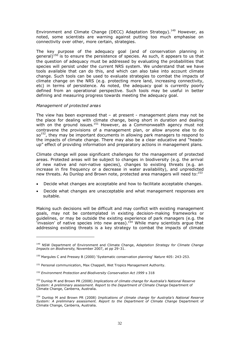Environment and Climate Change (DECC) Adaptation Strategy).<sup>149</sup> However, as noted, some scientists are warning against putting too much emphasise on connectivity over other, more certain, strategies.

The key purpose of the adequacy goal (and of conservation planning in general)<sup>150</sup> is to ensure the persistence of species. As such, it appears to us that the question of adequacy must be addressed by evaluating the probabilities that species will persist under the current NRS system. We understand that we have tools available that can do this, and which can also take into account climate change. Such tools can be used to evaluate strategies to combat the impacts of climate change on the NRS (e.g. protecting more land, increasing connectivity, etc) in terms of persistence. As noted, the adequacy goal is currently poorly defined from an operational perspective. Such tools may be useful in better defining and measuring progress towards meeting the adequacy goal.

#### *Management of protected areas*

The view has been expressed that  $-$  at present  $-$  management plans may not be the place for dealing with climate change, being short in duration and dealing with on the ground issues.<sup>151</sup> However, as a Commonwealth agency must not contravene the provisions of a management plan, or allow anyone else to do so<sup>152</sup>, they may be important documents in allowing park managers to respond to the impacts of climate change. There may also be a clear educative and "headsup" effect of providing information and preparatory actions in management plans.

Climate change will pose significant challenges for the management of protected areas. Protected areas will be subject to changes in biodiversity (e.g. the arrival of new native and non-native species), changes to existing threats (e.g. an increase in fire frequency or a decrease in water availability), and unpredicted new threats. As Dunlop and Brown note, protected area managers will need to:<sup>153</sup>

- Decide what changes are acceptable and how to facilitate acceptable changes.
- Decide what changes are unacceptable and what management responses are suitable.

Making such decisions will be difficult and may conflict with existing management goals, may not be contemplated in existing decision-making frameworks or guidelines, or may be outside the existing experience of park managers (e.g. the  $\frac{1}{2}$  invasion' of native species into new areas).<sup>154</sup> While many scientists argue that addressing existing threats is a key strategy to combat the impacts of climate

<sup>149</sup> NSW Department of Environment and Climate Change, *Adaptation Strategy for Climate Change Impacts on Biodiversity*, November 2007, at pp 29-31.

<sup>150</sup> Margules C and Pressey B (2000) 'Systematic conservation planning' *Nature* 405: 243-253.

<sup>&</sup>lt;sup>151</sup> Personal communication, Max Chappell, Wet Tropics Management Authority.

<sup>152</sup> *Environment Protection and Biodiversity Conservation Act 1999* s 318

<sup>153</sup> Dunlop M and Brown PR (2008) *Implications of climate change for Australia's National Reserve System: A preliminary assessment. Report to the Department of Climate Change* Department of Climate Change, Canberra, Australia.

<sup>154</sup> Dunlop M and Brown PR (2008) *Implications of climate change for Australia's National Reserve System: A preliminary assessment. Report to the Department of Climate Change* Department of Climate Change, Canberra, Australia.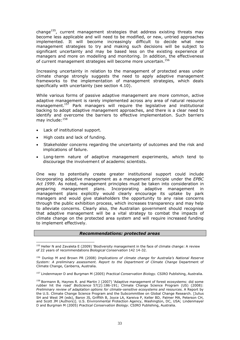change<sup>155</sup>, current management strategies that address existing threats may become less applicable and will need to be modified, or new, untried approaches implemented. It will become increasingly difficult to decide what new management strategies to try and making such decisions will be subject to significant uncertainty and may be based less on the existing experience of managers and more on modelling and monitoring. In addition, the effectiveness of current management strategies will become more uncertain.<sup>156</sup>

Increasing uncertainty in relation to the management of protected areas under climate change strongly suggests the need to apply adaptive management frameworks to the implementation of management strategies, which deals specifically with uncertainty (see section 4.10).

While various forms of passive adaptive management are more common, active adaptive management is rarely implemented across any area of natural resource management.<sup>157</sup> Park managers will require the legislative and institutional backing to adopt adaptive management approaches, and there is a clear need to identify and overcome the barriers to effective implementation. Such barriers may include:<sup>158</sup>

- Lack of institutional support.
- High costs and lack of funding.
- Stakeholder concerns regarding the uncertainty of outcomes and the risk and implications of failure.
- Long-term nature of adaptive management experiments, which tend to discourage the involvement of academic scientists.

One way to potentially create greater institutional support could include incorporating adaptive management as a management principle under the *EPBC Act 1999*. As noted, management principles must be taken into consideration in preparing management plans. Incorporating adaptive management in management plans explicitly would clearly encourage its uptake by park managers and would give stakeholders the opportunity to any raise concerns through the public exhibition process, which increases transparency and may help to alleviate concerns. Clearly also, the Australian government should recognise that adaptive management will be a vital strategy to combat the impacts of climate change on the protected area system and will require increased funding to implement effectively.

#### *Recommendations: protected areas*

<sup>155</sup> Heller N and Zavaleta E (2009) 'Biodiversity management in the face of climate change: A review of 22 years of recommendations *Biological Conservation* 142 14-32.

<sup>156</sup> Dunlop M and Brown PR (2008) *Implications of climate change for Australia's National Reserve System: A preliminary assessment. Report to the Department of Climate Change* Department of Climate Change, Canberra, Australia.

<sup>157</sup> Lindenmayer D and Burgman M (2005) *Practical Conservation Biology.* CSIRO Publishing, Australia.

<sup>&</sup>lt;sup>158</sup> Bormann B, Haynes R. and Martin J (2007) `Adaptive management of forest ecosystems: did some rubber hit the road' *BioScience* 57(2):186-191; Climate Change Science Program (US) (2008): *Preliminary review of adaptation options for climate-sensitive ecosystems and resources.* A Report by the U.S. Climate Change Science Program and the Subcommittee on Global Change Research. [Julius SH and West JM (eds), Baron JS, Griffith B, Joyce LA, Kareiva P, Keller BD, Palmer MA, Peterson CH, and Scott JM (Authors)]. U.S. Environmental Protection Agency, Washington, DC, USA; Lindenmayer D and Burgman M (2005) *Practical Conservation Biology.* CSIRO Publishing, Australia.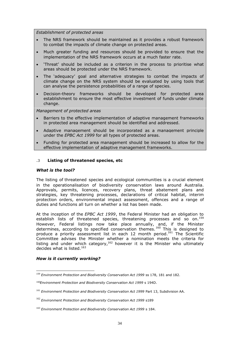*Establishment of protected areas*

- The NRS framework should be maintained as it provides a robust framework to combat the impacts of climate change on protected areas.
- Much greater funding and resources should be provided to ensure that the implementation of the NRS framework occurs at a much faster rate.
- 'Threat' should be included as a criterion in the process to prioritise what areas should be protected under the NRS framework.
- The 'adequacy' goal and alternative strategies to combat the impacts of climate change on the NRS system should be evaluated by using tools that can analyse the persistence probabilities of a range of species.
- Decision-theory frameworks should be developed for protected area establishment to ensure the most effective investment of funds under climate change.

*Management of protected areas*

- Barriers to the effective implementation of adaptive management frameworks in protected area management should be identified and addressed.
- Adaptive management should be incorporated as a management principle under the *EPBC Act 1999* for all types of protected areas.
- Funding for protected area management should be increased to allow for the effective implementation of adaptive management frameworks.

#### **.3 Listing of threatened species, etc**

#### *What is the tool?*

The listing of threatened species and ecological communities is a crucial element in the operationalisation of biodiversity conservation laws around Australia. Approvals, permits, licences, recovery plans, threat abatement plans and strategies, key threatening processes, declarations of critical habitat, interim protection orders, environmental impact assessment, offences and a range of duties and functions all turn on whether a list has been made.

At the inception of the *EPBC Act 1999*, the Federal Minister had an obligation to establish lists of threatened species, threatening processes and so on.<sup>159</sup> However, Federal listings now take place annually, and, if the Minister determines, according to specified conservation themes.<sup>160</sup> This is designed to produce a priority assessment list in each 12 month period.<sup>161</sup> The Scientific Committee advises the Minister whether a nomination meets the criteria for listing and under which category,<sup>162</sup> however it is the Minister who ultimately decides what is listed. $163$ 

#### *How is it currently working?*

<sup>159</sup> *Environment Protection and Biodiversity Conservation Act 1999* ss 178, 181 and 182.

<sup>160</sup>*Environment Protection and Biodiversity Conservation Act 1999* s 194D.

<sup>161</sup> *Environment Protection and Biodiversity Conservation Act 1999* Part 13, Subdivision AA.

<sup>162</sup> *Environment Protection and Biodiversity Conservation Act 1999* s189

<sup>163</sup> *Environment Protection and Biodiversity Conservation Act 1999* s 184.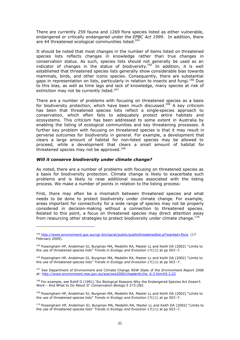There are currently 259 fauna and 1269 flora species listed as either vulnerable, endangered or critically endangered under the *EPBC Act 1999*. In addition, there are 44 threatened ecological communities listed.<sup>164</sup>

It should be noted that most changes in the number of items listed on threatened species lists reflects changes in knowledge rather than true changes in conservation status. As such, species lists should not generally be used as an indicator of changes in the status of biodiversity.<sup>165</sup> In addition, it is well established that threatened species lists generally show considerable bias towards mammals, birds, and other iconic species. Consequently, there are substantial gaps in representation on lists, particularly in relation to insects and fungi.<sup>166</sup> Due to this bias, as well as time lags and lack of knowledge, many species at risk of extinction may not be currently listed.<sup>167</sup>

There are a number of problems with focusing on threatened species as a basis for biodiversity protection, which have been much discussed.<sup>168</sup> A key criticism has been that threatened species lists reflect a single-species approach to conservation, which often fails to adequately protect entire habitats and ecosystems. This criticism has been addressed to some extent in Australia by enabling the listing of ecological communities and key threatening processes. A further key problem with focusing on threatened species is that it may result in perverse outcomes for biodiversity in general. For example, a development that clears a large amount of habitat for non-listed species may be allowed to proceed, while a development that clears a small amount of habitat for threatened species may not be approved.<sup>169</sup>

#### *Will it conserve biodiversity under climate change?*

As noted, there are a number of problems with focusing on threatened species as a basis for biodiversity protection. Climate change is likely to exacerbate such problems and is likely to raise additional issues associated with the listing process. We make a number of points in relation to the listing process:

First, there may often be a mismatch between threatened species and what needs to be done to protect biodiversity under climate change. For example, areas important for connectivity for a wide range of species may not be properly considered in decision-making without a connection to threatened species. Related to this point, a focus on threatened species may direct attention away from resourcing other strategies to protect biodiversity under climate change.<sup>170</sup>

<sup>164</sup> http://www.environment.gov.au/cgi-bin/sprat/public/publicthreatenedlist.pl?wanted=flora (17 February 2009).

<sup>165</sup> Possingham HP, Andelman SJ, Burgman MA, Medellin RA, Master LL and Keith DA (2002) "Limits to the use of threatened species lists" *Trends in Ecology and Evolution* 17(11) at pp 503–7.

<sup>166</sup> Possingham HP, Andelman SJ, Burgman MA, Medellin RA, Master LL and Keith DA (2002) "Limits to the use of threatened species lists" *Trends in Ecology and Evolution* 17(11) at pp 503–7.

<sup>167</sup> See Department of Environment and Climate Change *NSW State of the Environment Report 2006* at: http://www.environment.nsw.gov.au/soe/soe2006/chapter6/chp\_6.3.htm#6.3.22

<sup>&</sup>lt;sup>168</sup> For example, see Rohlf D (1991) 'Six Biological Reasons Why the Endangered Species Act Doesn't Work – And What to Do About It' *Conservation Biology* 5 273-282.

<sup>169</sup> Possingham HP, Andelman SJ, Burgman MA, Medellin RA, Master LL and Keith DA (2002) "Limits to the use of threatened species lists" *Trends in Ecology and Evolution* 17(11) at pp 503–7.

<sup>170</sup> Possingham HP, Andelman SJ, Burgman MA, Medellin RA, Master LL and Keith DA (2002) "Limits to the use of threatened species lists" *Trends in Ecology and Evolution* 17(11) at pp 503–7.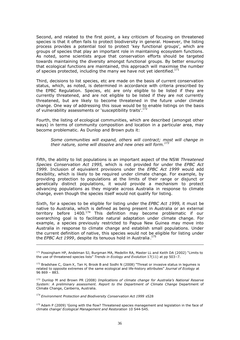Second, and related to the first point, a key criticism of focusing on threatened species is that it often fails to protect biodiversity in general. However, the listing process provides a potential tool to protect 'key functional groups', which are groups of species that play an important role in maintaining ecosystem functions. As noted, some scientists argue that conservation efforts should be targeted towards maintaining the diversity amongst functional groups. By better ensuring that ecological functions are maintained, this approach will maximise the number of species protected, including the many we have not yet identified.<sup>171</sup>

Third, decisions to list species, etc are made on the basis of current conservation status, which, as noted, is determined in accordance with criteria prescribed by the EPBC Regulation. Species, etc are only eligible to be listed if they are currently threatened, and are not eligible to be listed if they are not currently threatened, but are likely to become threatened in the future under climate change. One way of addressing this issue would be to enable listings on the basis of vulnerability assessments or 'susceptibility traits'.<sup>172</sup>

Fourth, the listing of ecological communities, which are described (amongst other ways) in terms of community composition and location in a particular area, may become problematic. As Dunlop and Brown puts it:

*Some communities will expand, others will contract; most will change in their nature, some will dissolve and new ones will form.<sup>173</sup>*

Fifth, the ability to list populations is an important aspect of the NSW *Threatened Species Conservation Act 1995,* which is not provided for under the *EPBC Act 1999*. Inclusion of equivalent provisions under the *EPBC Act 1999* would add flexibility, which is likely to be required under climate change. For example, by providing protection to populations at the limits of their range or disjunct or genetically distinct populations, it would provide a mechanism to protect advancing populations as they migrate across Australia in response to climate change, even though the species itself would not qualify for listing.

Sixth, for a species to be eligible for listing under the *EPBC Act 1999*, it must be native to Australia, which is defined as being present in Australia or an external territory before 1400.<sup>174</sup> This definition may become problematic if our overarching goal is to facilitate natural adaptation under climate change. For example, a species previously restricted to Papua New Guinea may move into Australia in response to climate change and establish small populations. Under the current definition of native, this species would not be eligible for listing under the *EPBC Act 1999*, despite its tenuous hold in Australia. 175

<sup>&</sup>lt;sup>171</sup> Possingham HP, Andelman SJ, Burgman MA, Medellin RA, Master LL and Keith DA (2002) "Limits to the use of threatened species lists" *Trends in Ecology and Evolution* 17(11) at pp 503–7.

<sup>&</sup>lt;sup>172</sup> Bradshaw C, Giam X, Tan H, Brook B and Sodhi N (2008) "Threat or invasive status in legumes is related to opposite extremes of the same ecological and life-history attributes" *Journal of Ecology* at 96 869 – 883.

<sup>173</sup> Dunlop M and Brown PR (2008) *Implications of climate change for Australia's National Reserve System: A preliminary assessment. Report to the Department of Climate Change* Department of Climate Change, Canberra, Australia.

<sup>174</sup> *Environment Protection and Biodiversity Conservation Act <sup>1999</sup>* s528

<sup>&</sup>lt;sup>175</sup> Adam P (2009) 'Going with the flow? Threatened species management and legislation in the face of climate change' *Ecological Management and Restoration* 10 S44-S45.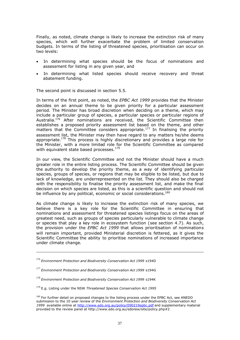Finally, as noted, climate change is likely to increase the extinction risk of many species, which will further exacerbate the problem of limited conservation budgets. In terms of the listing of threatened species, prioritisation can occur on two levels:

- In determining what species should be the focus of nominations and assessment for listing in any given year, and
- In determining what listed species should receive recovery and threat abatement funding.

The second point is discussed in section 5.5.

In terms of the first point, as noted, the *EPBC Act 1999* provides that the Minister decides on an annual theme to be given priority for a particular assessment period. The Minister has broad discretion when deciding on a theme, which may include a particular group of species, a particular species or particular regions of Australia.<sup>176</sup> After nominations are received, the Scientific Committee then establishes a proposed priority assessment list based on the theme, and other matters that the Committee considers appropriate.<sup>177</sup> In finalising the priority assessment list, the Minister may then have regard to any matters he/she deems appropriate.<sup>178</sup> This process is highly discretionary and provides a large role for the Minister, with a more limited role for the Scientific Committee as compared with equivalent state based processes.<sup>179</sup>

In our view, the Scientific Committee and not the Minister should have a much greater role in the entire listing process. The Scientific Committee should be given the authority to develop the priority theme, as a way of identifying particular species, groups of species, or regions that may be eligible to be listed, but due to lack of knowledge, are underrepresented on the list. They should also be charged with the responsibility to finalise the priority assessment list, and make the final decision on which species are listed, as this is a scientific question and should not be influence by any political, economic or social considerations.<sup>180</sup>

As climate change is likely to increase the extinction risk of many species, we believe there is a key role for the Scientific Committee in ensuring that nominations and assessment for threatened species listings focus on the areas of greatest need, such as groups of species particularly vulnerable to climate change or species that play a key role in ecosystem function (see section 4.7). As such, the provision under the *EPBC Act 1999* that allows prioritisation of nominations will remain important, provided Ministerial discretion is fettered, as it gives the Scientific Committee the ability to prioritise nominations of increased importance under climate change.

<sup>176</sup> *Environment Protection and Biodiversity Conservation Act <sup>1999</sup>* s194D

<sup>177</sup> *Environment Protection and Biodiversity Conservation Act <sup>1999</sup>* s194G

<sup>178</sup> *Environment Protection and Biodiversity Conservation Act <sup>1999</sup>* s194K

<sup>179</sup> E.g. Listing under the NSW *Threatened Species Conservation Act 1995*

<sup>&</sup>lt;sup>180</sup> For further detail on proposed changes to the listing process under the EPBC Act, see ANEDO submission to the 10 year review of the *Environment Protection and Biodiversity Conservation Act 1999* available online at http://www.edo.org.au/policy/090219epbc.pdf and supplementary material provided to the review panel at http://www.edo.org.au/edonsw/site/policy.php#2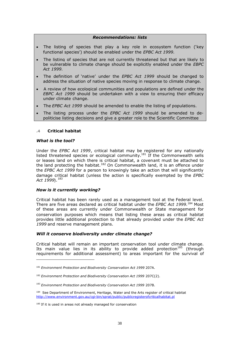#### *Recommendations: lists*

- The listing of species that play a key role in ecosystem function ('key functional species') should be enabled under the *EPBC Act 1999*.
- The listing of species that are not currently threatened but that are likely to be vulnerable to climate change should be explicitly enabled under the *EBPC Act 1999*.
- The definition of 'native' under the *EPBC Act 1999* should be changed to address the situation of native species moving in response to climate change.
- A review of how ecological communities and populations are defined under the *EBPC Act 1999* should be undertaken with a view to ensuring their efficacy under climate change.
- The *EPBC Act 1999* should be amended to enable the listing of populations.
- The listing process under the *EPBC Act 1999* should be amended to depoliticise listing decisions and give a greater role to the Scientific Committee

#### **.4 Critical habitat**

#### *What is the tool?*

Under the *EPBC Act 1999*, critical habitat may be registered for any nationally listed threatened species or ecological community.<sup>181</sup> If the Commonwealth sells or leases land on which there is critical habitat, a covenant must be attached to the land protecting the habitat.<sup>182</sup> On Commonwealth land, it is an offence under the *EPBC Act 1999* for a person to knowingly take an action that will significantly damage critical habitat (unless the action is specifically exempted by the *EPBC Act 1999*).<sup>183</sup>

#### *How is it currently working?*

Critical habitat has been rarely used as a management tool at the Federal level. There are five areas declared as critical habitat under the *EPBC Act 1999*. <sup>184</sup> Most of these areas are currently under Commonwealth or State management for conservation purposes which means that listing these areas as critical habitat provides little additional protection to that already provided under the *EPBC Act 1999* and reserve management plans.

#### *Will it conserve biodiversity under climate change?*

Critical habitat will remain an important conservation tool under climate change. Its main value lies in its ability to provide added protection<sup>185</sup> (through requirements for additional assessment) to areas important for the survival of

<sup>181</sup> *Environment Protection and Biodiversity Conservation Act 1999* 207A.

<sup>182</sup> *Environment Protection and Biodiversity Conservation Act 1999* 207C(2).

<sup>183</sup> *Environment Protection and Biodiversity Conservation Act 1999* 207B.

<sup>184</sup> See Department of Environment, Heritage, Water and the Arts register of critical habitat http://www.environment.gov.au/cgi-bin/sprat/public/publicregisterofcriticalhabitat.pl

<sup>&</sup>lt;sup>185</sup> If it is used in areas not already managed for conservation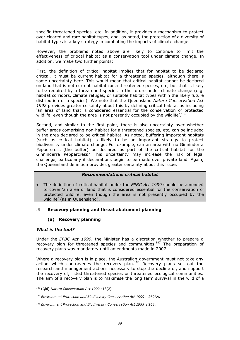specific threatened species, etc. In addition, it provides a mechanism to protect over-cleared and rare habitat types, and, as noted, the protection of a diversity of habitat types is a key strategy in combating the impacts of climate change.

However, the problems noted above are likely to continue to limit the effectiveness of critical habitat as a conservation tool under climate change. In addition, we make two further points:

First, the definition of critical habitat implies that for habitat to be declared critical, it must be current habitat for a threatened species, although there is some uncertainty here. This would mean that critical habitat cannot be declared on land that is not current habitat for a threatened species, etc, but that is likely to be required by a threatened species in the future under climate change (e.g. habitat corridors, climate refuges, or suitable habitat types within the likely future distribution of a species). We note that the Queensland *Nature Conservation Act 1992* provides greater certainty about this by defining critical habitat as including 'an area of land that is considered essential for the conservation of protected wildlife, even though the area is not presently occupied by the wildlife'.<sup>186</sup>

Second, and similar to the first point, there is also uncertainty over whether buffer areas comprising non-habitat for a threatened species, etc, can be included in the area declared to be critical habitat. As noted, buffering important habitats (such as critical habitat) is likely to be an important strategy to protect biodiversity under climate change. For example, can an area with no Ginninderra Peppercress (the buffer) be declared as part of the critical habitat for the Ginninderra Peppercress? This uncertainty may increase the risk of legal challenge, particularly if declarations begin to be made over private land. Again, the Queensland definition provides greater certainty about this issue.

# *Recommendations critical habitat*

 The definition of critical habitat under the *EPBC Act 1999* should be amended to cover 'an area of land that is considered essential for the conservation of protected wildlife, even though the area is not presently occupied by the wildlife' (as in Queensland).

# **.5 Recovery planning and threat abatement planning**

# **(a) Recovery planning**

# *What is the tool?*

Under the *EPBC Act 1999*, the Minister has a discretion whether to prepare a recovery plan for threatened species and communities.<sup>187</sup> The preparation of recovery plans was mandatory until amendments made in 2007.

Where a recovery plan is in place, the Australian government must not take any action which contravenes the recovery plan.<sup>188</sup> Recovery plans set out the research and management actions necessary to stop the decline of, and support the recovery of, listed threatened species or threatened ecological communities. The aim of a recovery plan is to maximise the long term survival in the wild of a

<sup>186</sup> (Qld) *Nature Conservation Act 1992* s13(2)

<sup>187</sup> *Environment Protection and Biodiversity Conservation Act 1999* s 269AA.

<sup>188</sup> *Environment Protection and Biodiversity Conservation Act 1999* s 268.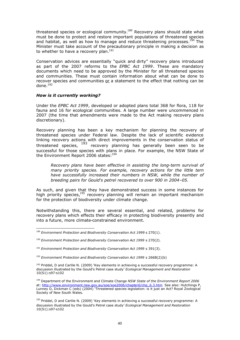threatened species or ecological community.<sup>189</sup> Recovery plans should state what must be done to protect and restore important populations of threatened species and habitat, as well as how to manage and reduce threatening processes.<sup>190</sup> The Minister must take account of the precautionary principle in making a decision as to whether to have a recovery plan.<sup>191</sup>

Conservation advices are essentially "quick and dirty" recovery plans introduced as part of the 2007 reforms to the *EPBC Act 1999*. These are mandatory documents which need to be approved by the Minister for all threatened species and communities. These must contain information about what can be done to recover species and communities or a statement to the effect that nothing can be done.<sup>192</sup>

#### *How is it currently working?*

Under the *EPBC Act 1999*, developed or adopted plans total 368 for flora, 118 for fauna and 16 for ecological communities. A large number were uncommenced in 2007 (the time that amendments were made to the Act making recovery plans discretionary).

Recovery planning has been a key mechanism for planning the recovery of threatened species under Federal law. Despite the lack of scientific evidence linking recovery actions with direct improvements in the conservation status of threatened species,  $193$  recovery planning has generally been seen to be successful for those species with plans in place. For example, the NSW State of the Environment Report 2006 states:<sup>194</sup>

*Recovery plans have been effective in assisting the long-term survival of many priority species. For example, recovery actions for the little tern have successfully increased their numbers in NSW, while the number of breeding pairs for Gould's petrel recovered to over 900 in 2004–05.*

As such, and given that they have demonstrated success in some instances for high priority species, $195$  recovery planning will remain an important mechanism for the protection of biodiversity under climate change.

Notwithstanding this, there are several essential, and related, problems for recovery plans which effects their efficacy in protecting biodiversity presently and into a future, more climate-constrained environment.

<sup>189</sup> *Environment Protection and Biodiversity Conservation Act 1999* s 270(1).

<sup>190</sup> *Environment Protection and Biodiversity Conservation Act 1999* s 270(2).

<sup>&</sup>lt;sup>191</sup> Environment Protection and Biodiversity Conservation Act 1999 s 391(3).

<sup>192</sup> *Environment Protection and Biodiversity Conservation Act 1999* s 266B(2)(b)

<sup>&</sup>lt;sup>193</sup> Priddel, D and Carlile N. (2009) 'Key elements in achieving a successful recovery programme: A discussion illustrated by the Gould's Petrel case study' *Ecological Management and Restoration* 10(S1):s97-s102

<sup>194</sup> Department of the Environment and Climate Change *NSW State of the Environment Report 2006* at: http://www.environment.nsw.gov.au/soe/soe2006/chapter6/chp\_6.3.htm See also: Hutchings P, Lunney D, Dickman C (eds) (2004) 'Threatened species legislation: is it just an Act? Royal Zoological Society of New South Wales.

<sup>&</sup>lt;sup>195</sup> Priddel, D and Carlile N. (2009) 'Key elements in achieving a successful recovery programme: A discussion illustrated by the Gould's Petrel case study' *Ecological Management and Restoration* 10(S1):s97-s102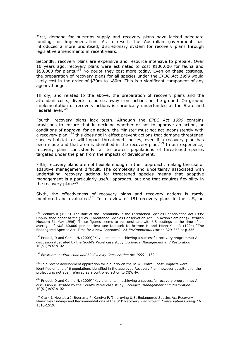First, demand far outstrips supply and recovery plans have lacked adequate funding for implementation. As a result, the Australian government has introduced a more prioritised, discretionary system for recovery plans through legislative amendments in recent years.

Secondly, recovery plans are expensive and resource intensive to prepare. Over 10 years ago, recovery plans were estimated to cost \$100,000 for fauna and  $$50,000$  for plants.<sup>196</sup> No doubt they cost more today. Even on these costings, the preparation of recovery plans for all species under the *EPBC Act 1999* would likely cost in the order of \$30m to \$80m. This is a significant component of any agency budget.

Thirdly, and related to the above, the preparation of recovery plans and the attendant costs, diverts resources away from actions on the ground. On ground implementation of recovery actions is chronically underfunded at the State and Federal level.<sup>197</sup>

Fourth, recovery plans lack teeth. Although the *EPBC Act 1999* contains provisions to ensure that in deciding whether or not to approve an action, or conditions of approval for an action, the Minister must not act inconsistently with a recovery plan,<sup>198</sup> this does not in effect prevent actions that damage threatened species habitat, or will impact threatened species, even if a recovery plan has been made and that area is identified in the recovery plan.<sup>199</sup> In our experience, recovery plans consistently fail to protect populations of threatened species targeted under the plan from the impacts of development.

Fifth, recovery plans are not flexible enough in their approach, making the use of adaptive management difficult. The complexity and uncertainty associated with undertaking recovery actions for threatened species means that adaptive management is a particularly useful approach, but one that requires flexibility in the recovery plan.<sup>200</sup>

Sixth, the effectiveness of recovery plans and recovery actions is rarely monitored and evaluated.<sup>201</sup> In a review of 181 recovery plans in the U.S, on

<sup>198</sup> *Environment Protection and Biodiversity Conservation Act 1999* s 139

<sup>199</sup> In a recent development application for a quarry on the NSW Central Coast, impacts were identified on one of 6 populations identified in the approved Recovery Plan, however despite this, the project was not even referred as a controlled action to DEWHA.

 $^{200}$  Priddel, D and Carlile N. (2009) 'Key elements in achieving a successful recovery programme: A discussion illustrated by the Gould's Petrel case study' *Ecological Management and Restoration* 10(S1):s97-s102

<sup>&</sup>lt;sup>196</sup> Brebach K (1996) 'The Role of the Community in the Threatened Species Conservation Act 1995' Unpublished paper at the (NSW) Threatened Species Conservation Act...In Action Seminar (Australian Museum 31 May 1996). These figures seems to be consistent with US costings at the time of an average of \$US 60,000 per species: see Kubasek N, Browne N and Mohn-Klee R (1994) "The Endangered Species Act: Time for a New Approach?" 23 *Environmental Law* pp 329-353 at p 336.

 $197$  Priddel, D and Carlile N. (2009) 'Key elements in achieving a successful recovery programme: A discussion illustrated by the Gould's Petrel case study' *Ecological Management and Restoration* 10(S1):s97-s102

<sup>&</sup>lt;sup>201</sup> Clark J, Hoekstra J, Boersma P, Kareiva P. 'Improving U.S. Endangered Species Act Recovery Plans: key Fndings and Recommendations of the SCB Recovery Plan Project' *Conservation Biology* 16 1510-1519.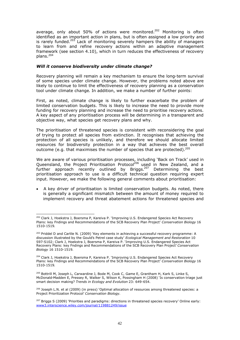average, only about 50% of actions were monitored.<sup>202</sup> Monitoring is often identified as an important action in plans, but is often assigned a low priority and is rarely funded.<sup>203</sup> Lack of monitoring severely hampers the ability of managers to learn from and refine recovery actions within an adaptive management framework (see section 4.10), which in turn reduces the effectiveness of recovery plans.<sup>204</sup>

#### *Will it conserve biodiversity under climate change?*

Recovery planning will remain a key mechanism to ensure the long-term survival of some species under climate change. However, the problems noted above are likely to continue to limit the effectiveness of recovery planning as a conservation tool under climate change. In addition, we make a number of further points:

First, as noted, climate change is likely to further exacerbate the problem of limited conservation budgets. This is likely to increase the need to provide more funding for recovery planning and increase the need to prioritise recovery actions. A key aspect of any prioritisation process will be determining in a transparent and objective way, what species get recovery plans and why.

The prioritisation of threatened species is consistent with reconsidering the goal of trying to protect all species from extinction. It recognises that achieving the protection of all species is unlikely, and therefore we should allocate limited resources for biodiversity protection in a way that achieves the best overall outcome (e.g. that maximises the number of species that are protected).<sup>205</sup>

We are aware of various prioritisation processes, including 'Back on Track' used in Queensland, the Project Prioritisation Protocol<sup>206</sup> used in New Zealand, and a further approach recently outlined by Briggs.<sup>207</sup> Determining the best prioritisation approach to use is a difficult technical question requiring expert input. However, we make the following general comments about prioritisation:

 A key driver of prioritisation is limited conservation budgets. As noted, there is generally a significant mismatch between the amount of money required to implement recovery and threat abatement actions for threatened species and

<sup>202</sup> Clark J, Hoekstra J, Boersma P, Kareiva P. 'Improving U.S. Endangered Species Act Recovery Plans: key Fndings and Recommendations of the SCB Recovery Plan Project' *Conservation Biology* 16 1510-1519.

<sup>&</sup>lt;sup>203</sup> Priddel D and Carlile N. (2009) 'Key elements in achieving a successful recovery programme: A discussion illustrated by the Gould's Petrel case study' *Ecological Management and Restoration* 10 S97-S102; Clark J, Hoekstra J, Boersma P, Kareiva P. 'Improving U.S. Endangered Species Act Recovery Plans: key Fndings and Recommendations of the SCB Recovery Plan Project' *Conservation Biology* 16 1510-1519.

<sup>&</sup>lt;sup>204</sup> Clark J, Hoekstra J, Boersma P, Kareiva P. 'Improving U.S. Endangered Species Act Recovery Plans: key Fndings and Recommendations of the SCB Recovery Plan Project' *Conservation Biology* 16 1510-1519.

<sup>&</sup>lt;sup>205</sup> Bottrill M, Joseph L, Carwardine J, Bode M, Cook C, Game E, Grantham H, Kark S, Linke S, McDonald-Madden E, Pressey R, Walker S, Wilson K, Possingham H (2008) 'Is conservation triage just smart decision making? *Trends in Ecology and Evolution* 23: 649-654.

<sup>&</sup>lt;sup>206</sup> Joseph L.N. et al (2009) (in press) 'Optimal allocation of resources among threatened species: a Project Prioritization Protocol' *Conservation Biology.*

 $207$  Briggs S (2009) 'Priorities and paradigms: directions in threatened species recovery' Online early: www3.interscience.wiley.com/journal/119881249/issue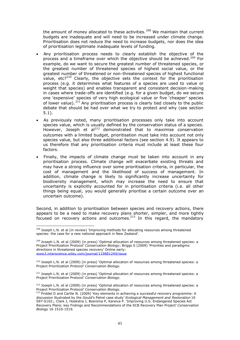the amount of money allocated to these activities.<sup>208</sup> We maintain that current budgets are inadequate and will need to be increased under climate change. Prioritisation does not reduce the need to increase budgets, nor does the idea of prioritisation legitimate inadequate levels of funding.

- Any prioritisation process needs to clearly establish the objective of the process and a timeframe over which the objective should be achieved.<sup>209</sup> For example, do we want to secure the greatest number of threatened species, or the greatest number of threatened species of highest social value, or the greatest number of threatened or non-threatened species of highest functional value, etc? $2^{210}$  Clearly, the objective sets the context for the prioritisation process (e.g. it determines what features of a species are used to value or weight that species) and enables transparent and consistent decision-making in cases where trade-offs are identified (e.g. for a given budget, do we secure one 'expensive' species of very high ecological value or five 'cheaper' species of lower value).  $211$  Any prioritisation process is clearly tied closely to the public debate that should be had over what we try to protect and why (see section 5.1).
- As previously noted, many prioritisation processes only take into account species value, which is usually defined by the conservation status of a species. However. Joseph et al<sup>212</sup> demonstrated that to maximise conservation outcomes with a limited budget, prioritisation must take into account not only species value, but also three additional factors (see section 4.9). It appears to us therefore that any prioritisation criteria must include at least these four factors.
- Finally, the impacts of climate change must be taken into account in any prioritisation process. Climate change will exacerbate existing threats and may have a strong influence over some prioritisation criteria, in particular, the cost of management and the likelihood of success of management. In addition, climate change is likely to significantly increase uncertainty for biodiversity management, which may increase the need to ensure that uncertainty is explicitly accounted for in prioritisation criteria (i.e. all other things being equal, you would generally prioritise a certain outcome over an uncertain outcome).

Second, in addition to prioritisation between species and recovery actions, there appears to be a need to make recovery plans shorter, simpler, and more tightly focused on recovery actions and outcomes.<sup>213</sup> In this regard, the mandatory

<sup>209</sup> Joseph L.N. et al (2009) (in press) 'Optimal allocation of resources among threatened species: a Project Prioritization Protocol' *Conservation Biology*; Briggs S (2009) 'Priorities and paradigms: directions in threatened species recovery' Online early: www3.interscience.wiley.com/journal/119881249/issue

<sup>210</sup> Joseph L.N. et al (2009) (in press) 'Optimal allocation of resources among threatened species: a Project Prioritization Protocol' *Conservation Biology.*

<sup>211</sup> Joseph L.N. et al (2009) (in press) 'Optimal allocation of resources among threatened species: a Project Prioritization Protocol' *Conservation Biology.*

 $212$  Joseph L.N. et al (2009) (in press) 'Optimal allocation of resources among threatened species: a Project Prioritization Protocol' *Conservation Biology.*

<sup>&</sup>lt;sup>208</sup> Joseph L.N. et al (in review) 'Improving methods for allocating resources among threatened species: the case for a new national approach in New Zealand'.

<sup>213</sup> Priddel D and Carlile N. (2009) 'Key elements in achieving a successful recovery programme: A discussion illustrated by the Gould's Petrel case study' *Ecological Management and Restoration* 10 S97-S102.; Clark J, Hoekstra J, Boersma P, Kareiva P. 'Improving U.S. Endangered Species Act Recovery Plans: key Fndings and Recommendations of the SCB Recovery Plan Project' *Conservation Biology* 16 1510-1519.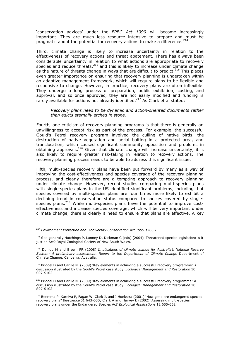'conservation advices' under the *EPBC Act 1999* will become increasingly important. They are much less resource intensive to prepare and must be pragmatic about the potential for recovery actions to make a difference.<sup>214</sup>

Third, climate change is likely to increase uncertainty in relation to the effectiveness of recovery actions and threat abatement. There has always been considerable uncertainty in relation to what actions are appropriate to recovery species and reduce threats, $215$  and this is likely to increase under climate change as the nature of threats change in ways that are difficult to predict.<sup>216</sup> This places even greater importance on ensuring that recovery planning is undertaken within an adaptive management framework, which will require plans to be flexible and responsive to change. However, in practice, recovery plans are often inflexible. They undergo a long process of preparation, public exhibition, costing, and approval, and so once approved, they are not easily modified and funding is rarely available for actions not already identified.<sup>217</sup> As Clark et al stated:

*Recovery plans need to be dynamic and action-oriented documents rather than edicts eternally etched in stone*.

Fourth, one criticism of recovery planning programs is that there is generally an unwillingness to accept risk as part of the process. For example, the successful Gould's Petrel recovery program involved the culling of native birds, the destruction of native vegetation and aerial baiting in a protected area, and translocation, which caused significant community opposition and problems in obtaining approvals.<sup>218</sup> Given that climate change will increase uncertainty, it is also likely to require greater risk-taking in relation to recovery actions. The recovery planning process needs to be able to address this significant issue.

Fifth, multi-species recovery plans have been put forward by many as a way of improving the cost-effectiveness and species coverage of the recovery planning process, and clearly therefore are a tempting approach to recovery planning under climate change. However, recent studies comparing multi-species plans with single-species plans in the US identified significant problems, including that species covered by multi-species plans are four times more likely to exhibit a declining trend in conservation status compared to species covered by singlespecies plans.<sup>219</sup> While multi-species plans have the potential to improve costeffectiveness and increase species coverage, which will be very important under climate change, there is clearly a need to ensure that plans are effective. A key

<sup>214</sup> *Environment Protection and Biodiversity Conservation Act 1999* s266B.

<sup>215</sup> See generally Hutchings P, Lunney D, Dickman C (eds) (2004) 'Threatened species legislation: is it just an Act? Royal Zoological Society of New South Wales.

<sup>216</sup> Dunlop M and Brown PR (2008) *Implications of climate change for Australia's National Reserve System: A preliminary assessment. Report to the Department of Climate Change* Department of Climate Change, Canberra, Australia.

<sup>217</sup> Priddel D and Carlile N. (2009) 'Key elements in achieving a successful recovery programme: A discussion illustrated by the Gould's Petrel case study' *Ecological Management and Restoration* 10 S97-S102.

<sup>218</sup> Priddel D and Carlile N. (2009) 'Key elements in achieving a successful recovery programme: A discussion illustrated by the Gould's Petrel case study' *Ecological Management and Restoration* 10 S97-S102.

<sup>219</sup> Boersma P, Kareiva P, Fagan W, Clark J, and J Hoekstra (2001) 'How good are endangered species recovery plans? *Bioscience* 51 643-650; Clark A and Harvey E (2002) 'Assessing multi-species recovery plans under the Endangered Species Act' *Ecological Applications* 12 655-662.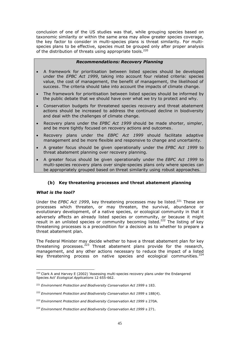conclusion of one of the US studies was that, while grouping species based on taxonomic similarity or within the same area may allow greater species coverage, the key factor to consider in multi-species plans is threat similarity. For multispecies plans to be effective, species must be grouped only after proper analysis of the distribution of threats using appropriate tools.<sup>220</sup>

# *Recommendations: Recovery Planning*

- A framework for prioritisation between listed species should be developed under the *EPBC Act 1999*, taking into account four related criteria: species value, the cost of management, the benefit of management, the likelihood of success. The criteria should take into account the impacts of climate change.
- The framework for prioritisation between listed species should be informed by the public debate that we should have over what we try to protect and why.
- Conservation budgets for threatened species recovery and threat abatement actions should be increased to address the continued decline in biodiversity and deal with the challenges of climate change.
- Recovery plans under the *EPBC Act 1999* should be made shorter, simpler, and be more tightly focused on recovery actions and outcomes.
- Recovery plans under the *EBPC Act 1999* should facilitate adaptive management and be more flexible and responsive to change and uncertainty.
- A greater focus should be given operationally under the *EPBC Act 1999* to threat abatement planning over recovery planning.
- A greater focus should be given operationally under the *EBPC Act 1999* to multi-species recovery plans over single-species plans only where species can be appropriately grouped based on threat similarity using robust approaches.

# **(b) Key threatening processes and threat abatement planning**

#### *What is the tool?*

Under the *EPBC Act 1999*, key threatening processes may be listed.<sup>221</sup> These are processes which threaten, or may threaten, the survival, abundance or evolutionary development, of a native species, or ecological community in that it adversely affects an already listed species or community, or because it might result in an unlisted species or community becoming listed.<sup>222</sup> The listing of key threatening processes is a precondition for a decision as to whether to prepare a threat abatement plan.

The Federal Minister may decide whether to have a threat abatement plan for key threatening processes.<sup>223</sup> Threat abatement plans provide for the research, management, and any other actions necessary to reduce the impact of a listed key threatening process on native species and ecological communities. $^{224}$ 

<sup>&</sup>lt;sup>220</sup> Clark A and Harvey E (2002) 'Assessing multi-species recovery plans under the Endangered Species Act' *Ecological Applications* 12 655-662.

<sup>221</sup> *Environment Protection and Biodiversity Conservation Act 1999* s 183.

<sup>&</sup>lt;sup>222</sup> Environment Protection and Biodiversity Conservation Act 1999 s 188(4).

<sup>223</sup> *Environment Protection and Biodiversity Conservation Act 1999* s 270A.

<sup>&</sup>lt;sup>224</sup> Environment Protection and Biodiversity Conservation Act 1999 s 271.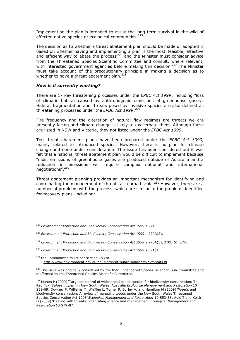Implementing the plan is intended to assist the long term survival in the wild of affected native species or ecological communities.<sup>225</sup>

The decision as to whether a threat abatement plan should be made or adopted is based on whether having and implementing a plan is the most 'feasible, effective and efficient way to abate the process<sup>'226</sup> and the Minister must consider advice from the Threatened Species Scientific Committee and consult, where relevant, with interested government agencies before making this decision.<sup>227</sup> The Minister must take account of the precautionary principle in making a decision as to whether to have a threat abatement plan.

#### *How is it currently working?*

There are 17 key threatening processes under the *EPBC Act 1999*, including "loss of climatic habitat caused by anthropogenic emissions of greenhouse gases". Habitat fragmentation and threats posed by invasive species are also defined as threatening processes under the *EPBC Act 1999*. 229

Fire frequency and the alteration of natural flow regimes are threats we are presently facing and climate change is likely to exacerbate them. Although these are listed in NSW and Victoria, they not listed under the *EPBC Act 1999*.

Ten threat abatement plans have been prepared under the *EPBC Act 1999*, mainly related to introduced species. However, there is no plan for climate change and none under consideration. The issue has been considered but it was felt that a national threat abatement plan would be difficult to implement because "most emissions of greenhouse gases are produced outside of Australia and a reduction in emissions will require complex national and international negotiations". 230

Threat abatement planning provides an important mechanism for identifying and coordinating the management of threats at a broad scale.<sup>231</sup> However, there are a number of problems with the process, which are similar to the problems identified for recovery plans, including:

<sup>225</sup> *Environment Protection and Biodiversity Conservation Act 1999* s 271.

<sup>226</sup> *Environment Protection and Biodiversity Conservation Act 1999* s 270A(2).

<sup>&</sup>lt;sup>227</sup> Environment Protection and Biodiversity Conservation Act 1999 s 270A(3), 270B(5), 274.

<sup>&</sup>lt;sup>228</sup> Environment Protection and Biodiversity Conservation Act 1999 s 391(3).

<sup>229</sup> the Commonwealth list per section 183 at: http://www.environment.gov.au/cgi-bin/sprat/public/publicgetkeythreats.pl

<sup>&</sup>lt;sup>230</sup> The issue was originally considered by the then Endangered Species Scientific Sub-Committee and reaffirmed by the Threatened Species Scientific Committee.

<sup>&</sup>lt;sup>231</sup> Mahon P (2009) 'Targeted control of widespread exotic species for biodiversity conservation: The Red Fox (*Vulpes vulpes*) in New South Wales, Australia *Ecological Management and Restoration* 10 S59-69; Downey P, Williams M, Whiffen L, Turner P, Burley A, and Hamilton M (2009) 'Weeds and biodiversity conservation: A review of managing weeds under the New South Wales Threatened Species Conservation Act 1995' *Ecological Management and Restoration* 10 S53-58; Auld T and Keith D (2009) 'Dealing with threats: integrating science and management' *Ecological Management and Restoration* 10 S79-87.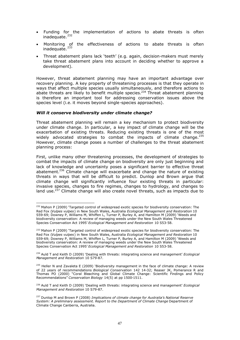- Funding for the implementation of actions to abate threats is often inadequate.<sup>232</sup>
- Monitoring of the effectiveness of actions to abate threats is often inadequate.<sup>233</sup>
- Threat abatement plans lack 'teeth' (e.g. again, decision-makers must merely take threat abatement plans into account in deciding whether to approve a development).

However, threat abatement planning may have an important advantage over recovery planning. A key property of threatening processes is that they operate in ways that affect multiple species usually simultaneously, and therefore actions to abate threats are likely to benefit multiple species.<sup>234</sup> Threat abatement planning is therefore an important tool for addressing conservation issues above the species level (i.e. it moves beyond single-species approaches).

#### *Will it conserve biodiversity under climate change?*

Threat abatement planning will remain a key mechanism to protect biodiversity under climate change. In particular, a key impact of climate change will be the exacerbation of existing threats. Reducing existing threats is one of the most widely advocated strategies to combat the impacts of climate change.<sup>235</sup> However, climate change poses a number of challenges to the threat abatement planning process:

First, unlike many other threatening processes, the development of strategies to combat the impacts of climate change on biodiversity are only just beginning and lack of knowledge and uncertainty poses a significant barrier to effective threat abatement.<sup>236</sup> Climate change will exacerbate and change the nature of existing threats in ways that will be difficult to predict. Dunlop and Brown argue that climate change will significantly influence four existing threats in particular: invasive species, changes to fire regimes, changes to hydrology, and changes to land use. $237$  Climate change will also create novel threats, such as impacts due to

<sup>&</sup>lt;sup>232</sup> Mahon P (2009) 'Targeted control of widespread exotic species for biodiversity conservation: The Red Fox (*Vulpes vulpes*) in New South Wales, Australia *Ecological Management and Restoration* 10 S59-69; Downey P, Williams M, Whiffen L, Turner P, Burley A, and Hamilton M (2009) 'Weeds and biodiversity conservation: A review of managing weeds under the New South Wales Threatened Species Conservation Act 1995' *Ecological Management and Restoration* 10 S53-58.

<sup>&</sup>lt;sup>233</sup> Mahon P (2009) 'Targeted control of widespread exotic species for biodiversity conservation: The Red Fox (*Vulpes vulpes*) in New South Wales, Australia *Ecological Management and Restoration* 10 S59-69; Downey P, Williams M, Whiffen L, Turner P, Burley A, and Hamilton M (2009) 'Weeds and biodiversity conservation: A review of managing weeds under the New South Wales Threatened Species Conservation Act 1995' *Ecological Management and Restoration* 10 S53-58.

<sup>234</sup> Auld T and Keith D (2009) 'Dealing with threats: integrating science and management' *Ecological Management and Restoration* 10 S79-87.

<sup>&</sup>lt;sup>235</sup> Heller N and Zavaleta E (2009) 'Biodiversity management in the face of climate change: A review of 22 years of recommendations *Biological Conservation* 142 14-32; Reaser JK, Pomerance R and Thomas PO (2000) "Coral Bleaching and Global Climate Change: Scientific Findings and Policy Recommendations" *Conservation Biology* 14(5) at pp 1500-1511.

<sup>236</sup> Auld T and Keith D (2009) 'Dealing with threats: integrating science and management' *Ecological Management and Restoration* 10 S79-87.

<sup>237</sup> Dunlop M and Brown P (2008) *Implications of climate change for Australia's National Reserve System: A preliminary assessment. Report to the Department of Climate Change* Department of Climate Change Canberra, Australia.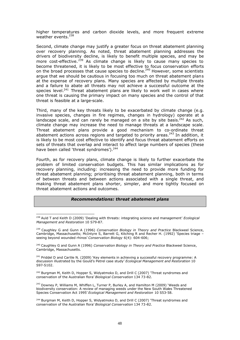higher temperatures and carbon dioxide levels, and more frequent extreme weather events. $^{238}$ 

Second, climate change may justify a greater focus on threat abatement planning over recovery planning. As noted, threat abatement planning addresses the drivers of biodiversity decline, is likely to benefit multiple species, and may be more cost-effective.<sup>239</sup> As climate change is likely to cause many species to become threatened, it is likely to be most effective to focus conservation efforts on the broad processes that cause species to decline.<sup>240</sup> However, some scientists argue that we should be cautious in focusing too much on threat abatement plans at the expense of recovery plans. Many species are affected by multiple threats and a failure to abate all threats may not achieve a successful outcome at the species level.<sup>241</sup> Threat abatement plans are likely to work well in cases where one threat is causing the primary impact on many species and the control of that threat is feasible at a large-scale.

Third, many of the key threats likely to be exacerbated by climate change (e.g. invasive species, changes in fire regimes, changes in hydrology) operate at a landscape scale, and can rarely be managed on a site by site basis. $^{242}$  As such, climate change may increase the need to manage threats at a landscape scale. Threat abatement plans provide a good mechanism to co-ordinate threat abatement actions across regions and targeted to priority areas.<sup>243</sup> In addition, it is likely to be most cost effective to identify and focus threat abatement efforts on sets of threats that overlap and interact to affect large numbers of species (these have been called 'threat syndromes').<sup>244</sup>

Fourth, as for recovery plans, climate change is likely to further exacerbate the problem of limited conservation budgets. This has similar implications as for recovery planning, including: increasing the need to provide more funding for threat abatement planning; prioritising threat abatement planning, both in terms of between threats and between actions associated with a single threat, and making threat abatement plans shorter, simpler, and more tightly focused on threat abatement actions and outcomes.

#### *Recommendations: threat abatement plans*

<sup>239</sup> Caughley G and Gunn A (1996) *Conservation Biology in Theory and Practice* Blackweel Science, Cambridge, Massachusetts; McIntyre S, Barrett G, Kitching R and Recher H. (1992) 'Species triage – seeing beyond wounded rhinos' *Conservation Biology* 6(4): 604-606;

<sup>240</sup> Caughley G and Gunn A (1996) *Conservation Biology in Theory and Practice* Blackweel Science, Cambridge, Massachusetts.

<sup>241</sup> Priddel D and Carlile N. (2009) 'Key elements in achieving a successful recovery programme: A discussion illustrated by the Gould's Petrel case study' *Ecological Management and Restoration* 10 S97-S102.

<sup>242</sup> Burgman M, Keith D, Hopper S, Widyatmoko D, and Drill C (2007) 'Threat syndromes and conservation of the Australian flora' *Biological Conservation* 134 73-82.

<sup>243</sup> Downey P, Williams M, Whiffen L, Turner P, Burley A, and Hamilton M (2009) 'Weeds and biodiversity conservation: A review of managing weeds under the New South Wales Threatened Species Conservation Act 1995' *Ecological Management and Restoration* 10 S53-58.

 $244$  Burgman M, Keith D, Hopper S, Widyatmoko D, and Drill C (2007) 'Threat syndromes and conservation of the Australian flora' *Biological Conservation* 134 73-82.

<sup>238</sup> Auld T and Keith D (2009) 'Dealing with threats: integrating science and management' *Ecological Management and Restoration* 10 S79-87.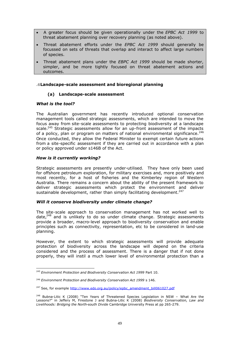- A greater focus should be given operationally under the *EPBC Act 1999* to threat abatement planning over recovery planning (as noted above).
- Threat abatement efforts under the *EPBC Act 1999* should generally be focussed on sets of threats that overlap and interact to affect large numbers of species.
- Threat abatement plans under the *EBPC Act 1999* should be made shorter, simpler, and be more tightly focused on threat abatement actions and outcomes.

#### **.6Landscape-scale assessment and bioregional planning**

#### **(a) Landscape-scale assessment**

#### *What is the tool?*

The Australian government has recently introduced optional conservation management tools called strategic assessments, which are intended to move the focus away from site-scale assessments to protecting biodiversity at a landscape scale.<sup>245</sup> Strategic assessments allow for an up-front assessment of the impacts of a policy, plan or program on matters of national environmental significance.<sup>246</sup> Once conducted, they allow the Federal Minister to exempt certain future actions from a site-specific assessment if they are carried out in accordance with a plan or policy approved under s146B of the Act.

#### *How is it currently working?*

Strategic assessments are presently under-utilised. They have only been used for offshore petroleum exploration, for military exercises and, more positively and most recently, for a host of fisheries and the Kimberley region of Western Australia. There remains a concern about the ability of the present framework to deliver strategic assessments which protect the environment and deliver sustainable development, rather than simply facilitating development. $247$ 

#### *Will it conserve biodiversity under climate change?*

The site-scale approach to conservation management has not worked well to date, $248$  and is unlikely to do so under climate change. Strategic assessments provide a broader, macro-level approach to biodiversity conservation and enable principles such as connectivity, representation, etc to be considered in land-use planning.

However, the extent to which strategic assessments will provide adequate protection of biodiversity across the landscape will depend on the criteria considered and the process of assessment. There is a danger that if not done properly, they will instil a much lower level of environmental protection than a

<sup>245</sup> *Environment Protection and Biodiversity Conservation Act 1999* Part 10.

<sup>246</sup> *Environment Protection and Biodiversity Conservation Act 1999* s 146.

 $247$  See, for example http://www.edo.org.au/policy/epbc\_amendment\_bill061027.pdf

<sup>&</sup>lt;sup>248</sup> Bubna-Litic K (2008) "Ten Years of Threatened Species Legislation in NSW - What Are the Lessons?" in Jeffery M, Firestone J and Bubna-Litic K (2008) *Biodiversity Conservation, Law and Livelihoods: Bridging the North-south Divide* Cambridge University Press at pp 265-279.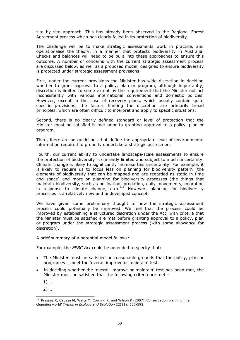site by site approach. This has already been observed in the Regional Forest Agreement process which has clearly failed in its protection of biodiversity.

The challenge will be to make strategic assessments work in practice, and operationalise the theory, in a manner that protects biodiversity in Australia. Checks and balances will need to be built into these approaches to ensure this outcome. A number of concerns with the current strategic assessment process are discussed below, as well as a proposed model, designed to ensure biodiversity is protected under strategic assessment provisions.

First, under the current provisions the Minister has wide discretion in deciding whether to grant approval to a policy, plan or program, although importantly, discretion is limited to some extent by the requirement that the Minister not act inconsistently with various international conventions and domestic policies. However, except in the case of recovery plans, which usually contain quite specific provisions, the factors limiting the discretion are primarily broad principles, which are often difficult to interpret and apply to specific situations.

Second, there is no clearly defined standard or level of protection that the Minister must be satisfied is met prior to granting approval to a policy, plan or program.

Third, there are no guidelines that define the appropriate level of environmental information required to properly undertake a strategic assessment.

Fourth, our current ability to undertake landscape-scale assessments to ensure the protection of biodiversity is currently limited and subject to much uncertainty. Climate change is likely to significantly increase this uncertainty. For example, it is likely to require us to focus less on planning for biodiversity pattern (the elements of biodiversity that can be mapped and are regarded as static in time and space) and more on planning for biodiversity processes (the things that maintain biodiversity, such as pollination, predation, daily movements, migration in response to climate change, etc).<sup>249</sup> However, planning for biodiversity processes is a relatively new and undeveloped concept.

We have given some preliminary thought to how the strategic assessment process could potentially be improved. We feel that the process could be improved by establishing a structured discretion under the Act, with criteria that the Minister must be satisfied are met before granting approval to a policy, plan or program under the strategic assessment process (with some allowance for discretion).

A brief summary of a potential model follows:

For example, the *EPBC Act* could be amended to specify that:

- The Minister must be satisfied on reasonable grounds that the policy, plan or program will meet the 'overall improve or maintain' test.
- In deciding whether the 'overall improve or maintain' test has been met, the Minister must be satisfied that the following criteria are met –

1)…..

2)…..

 $249$  Pressey R, Cabeza M, Watts M, Cowling R, and Wilson K (2007) 'Conservation planning in a changing world' *Trends in Ecology and Evolution* 22(11): 583-592.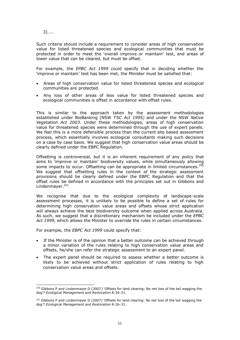3)…..

Such criteria should include a requirement to consider areas of high conservation value for listed threatened species and ecological communities that must be protected in order to meet the 'overall improve or maintain' test, and areas of lower value that can be cleared, but must be offset.

For example, the *EPBC Act 1999* could specify that in deciding whether the 'improve or maintain' test has been met, the Minister must be satisfied that:

- Areas of high conservation value for listed threatened species and ecological communities are protected.
- Any loss of other areas of less value for listed threatened species and ecological communities is offset in accordance with offset rules.

This is similar to the approach taken by the assessment methodologies established under BioBanking (NSW *TSC Act 1995)* and under the NSW *Native Vegetation Act 2003*. Under these methodologies, areas of high conservation value for threatened species were determined through the use of expert panels. We feel this is a more defensible process than the current site based assessment process, which essentially involves ecological consultants making such decisions on a case by case basis. We suggest that high conservation value areas should be clearly defined under the EBPC Regulation.

Offsetting is controversial, but it is an inherent requirement of any policy that aims to 'improve or maintain' biodiversity values, while simultaneously allowing some impacts to occur. Offsetting can be appropriate in limited circumstances. $250$ We suggest that offsetting rules in the context of the strategic assessment provisions should be clearly defined under the EBPC Regulation and that the offset rules be defined in accordance with the principles set out in Gibbons and Lindenmayer.<sup>251</sup>

We recognise that due to the ecological complexity of landscape-scale assessment processes, it is unlikely to be possible to define a set of rules for determining high conservation value areas and offsets whose strict application will always achieve the best biodiversity outcome when applied across Australia. As such, we suggest that a discretionary mechanism be included under the *EPBC Act 1999*, which allows the Minister to override the rules in certain circumstances.

For example, the *EBPC Act 1999* could specify that:

- If the Minister is of the opinion that a better outcome can be achieved through a minor variation of the rules relating to high conservation value areas and offsets, he/she can refer the strategic assessment to an expert panel.
- The expert panel should be required to assess whether a better outcome is likely to be achieved without strict application of rules relating to high conservation value areas and offsets.

<sup>&</sup>lt;sup>250</sup> Gibbons P and Lindenmayer D (2007) 'Offsets for land clearing: No net loss of the tail wagging the dog'? *Ecological Management and Restoration* 8:26-31.

<sup>&</sup>lt;sup>251</sup> Gibbons P and Lindenmayer D (2007) 'Offsets for land clearing: No net loss of the tail wagging the dog'? *Ecological Management and Restoration* 8:26-31.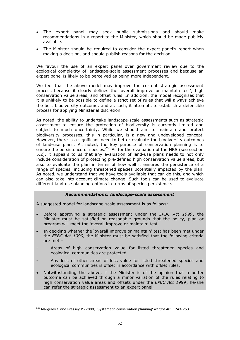- The expert panel may seek public submissions and should make recommendations in a report to the Minister, which should be made publicly available.
- The Minister should be required to consider the expert panel's report when making a decision, and should publish reasons for the decision.

We favour the use of an expert panel over government review due to the ecological complexity of landscape-scale assessment processes and because an expert panel is likely to be perceived as being more independent.

We feel that the above model may improve the current strategic assessment process because it clearly defines the 'overall improve or maintain test', high conservation value areas, and offset rules. In addition, the model recognises that it is unlikely to be possible to define a strict set of rules that will always achieve the best biodiversity outcome, and as such, it attempts to establish a defensible process for applying Ministerial discretion.

As noted, the ability to undertake landscape-scale assessments such as strategic assessment to ensure the protection of biodiversity is currently limited and subject to much uncertainty. While we should aim to maintain and protect biodiversity processes, this in particular, is a new and undeveloped concept. However, there is a significant need to better evaluate the biodiversity outcomes of land-use plans. As noted, the key purpose of conservation planning is to ensure the persistence of species.<sup>252</sup> As for the evaluation of the NRS (see section 5.2), it appears to us that any evaluation of land-use plans needs to not only include consideration of protecting pre-defined high conservation value areas, but also to evaluate the plan in terms of how well it ensures the persistence of a range of species, including threatened species potentially impacted by the plan. As noted, we understand that we have tools available that can do this, and which can also take into account climate change. Such tools can be used to evaluate different land-use planning options in terms of species persistence.

#### *Recommendations: landscape-scale assessment*

A suggested model for landscape-scale assessment is as follows:

- Before approving a strategic assessment under the *EPBC Act 1999*, the Minister must be satisfied on reasonable grounds that the policy, plan or program will meet the 'overall improve or maintain' test.
- In deciding whether the 'overall improve or maintain' test has been met under the *EPBC Act 1999*, the Minister must be satisfied that the following criteria are met –
- Areas of high conservation value for listed threatened species and ecological communities are protected.
- Any loss of other areas of less value for listed threatened species and ecological communities is offset in accordance with offset rules.
- Notwithstanding the above, if the Minister is of the opinion that a better outcome can be achieved through a minor variation of the rules relating to high conservation value areas and offsets under the *EPBC Act 1999*, he/she can refer the strategic assessment to an expert panel.

<sup>252</sup> Margules C and Pressey B (2000) 'Systematic conservation planning' *Nature* 405: 243-253.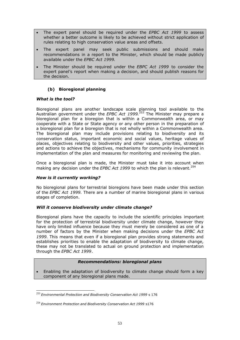- The expert panel should be required under the *EPBC Act 1999* to assess whether a better outcome is likely to be achieved without strict application of rules relating to high conservation value areas and offsets.
- The expert panel may seek public submissions and should make recommendations in a report to the Minister, which should be made publicly available under the *EPBC Act 1999*.
- The Minister should be required under the *EBPC Act 1999* to consider the expert panel's report when making a decision, and should publish reasons for the decision.

# **(b) Bioregional planning**

# *What is the tool?*

Bioregional plans are another landscape scale planning tool available to the Australian government under the *EPBC Act 1999. <sup>253</sup>* The Minister may prepare a bioregional plan for a bioregion that is within a Commonwealth area, or may cooperate with a State or State agency or any other person in the preparation of a bioregional plan for a bioregion that is not wholly within a Commonwealth area. The bioregional plan may include provisions relating to biodiversity and its conservation status, important economic and social values, heritage values of places, objectives relating to biodiversity and other values, priorities, strategies and actions to achieve the objectives, mechanisms for community involvement in implementation of the plan and measures for monitoring and reviewing the plan.

Once a bioregional plan is made, the Minister must take it into account when making any decision under the *EPBC Act 1999* to which the plan is relevant.<sup>254</sup>

#### *How is it currently working?*

No bioregional plans for terrestrial bioregions have been made under this section of the *EPBC Act 1999*. There are a number of marine bioregional plans in various stages of completion.

#### *Will it conserve biodiversity under climate change?*

Bioregional plans have the capacity to include the scientific principles important for the protection of terrestrial biodiversity under climate change, however they have only limited influence because they must merely be considered as one of a number of factors by the Minister when making decisions under the *EPBC Act 1999*. This means that even if a bioregional plan provides strong statements and establishes priorities to enable the adaptation of biodiversity to climate change, these may not be translated to actual on ground protection and implementation through the *EPBC Act 1999*.

#### *Recommendations: bioregional plans*

 Enabling the adaptation of biodiversity to climate change should form a key component of any bioregional plans made.

<sup>253</sup> *Environmental Protection and Biodiversity Conservation Act 1999* s 176

<sup>254</sup> *Environment Protection and Biodiversity Conservation Act 1999* s176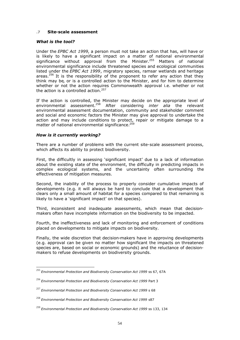## **.7 Site-scale assessment**

#### *What is the tool?*

Under the *EPBC Act 1999*, a person must not take an action that has, will have or is likely to have a significant impact on a matter of national environmental significance without approval from the Minister.<sup>255</sup> Matters of national environmental significance include threatened species and ecological communities listed under the *EPBC Act 1999*, migratory species, ramsar wetlands and heritage areas.<sup>256</sup> It is the responsibility of the proponent to refer any action that they think may be, or is a controlled action to the Minister, and for him to determine whether or not the action requires Commonwealth approval i.e. whether or not the action is a controlled action.<sup>257</sup>

If the action is controlled, the Minister may decide on the appropriate level of environmental assessment.<sup>258</sup> After considering *inter alia* the relevant environmental assessment documentation, community and stakeholder comment and social and economic factors the Minister may give approval to undertake the action and may include conditions to protect, repair or mitigate damage to a matter of national environmental significance.<sup>259</sup>

# *How is it currently working?*

There are a number of problems with the current site-scale assessment process, which affects its ability to protect biodiversity.

First, the difficultly in assessing 'significant impact' due to a lack of information about the existing state of the environment, the difficulty in predicting impacts in complex ecological systems, and the uncertainty often surrounding the effectiveness of mitigation measures.

Second, the inability of the process to properly consider cumulative impacts of developments (e.g. it will always be hard to conclude that a development that clears only a small amount of habitat for a species compared to that remaining is likely to have a 'significant impact' on that species).

Third, inconsistent and inadequate assessments, which mean that decisionmakers often have incomplete information on the biodiversity to be impacted.

Fourth, the ineffectiveness and lack of monitoring and enforcement of conditions placed on developments to mitigate impacts on biodiversity.

Finally, the wide discretion that decision-makers have in approving developments (e.g. approval can be given no matter how significant the impacts on threatened species are, based on social or economic grounds) and the reluctance of decisionmakers to refuse developments on biodiversity grounds.

<sup>255</sup> *Environmental Protection and Biodiversity Conservation Act 1999* ss 67, 67A

<sup>256</sup> *Environmental Protection and Biodiversity Conservation Act 1999* Part 3

<sup>257</sup> *Environmental Protection and Biodiversity Conservation Act 1999* s 68

<sup>258</sup> *Environmental Protection and Biodiversity Conservation Act 1999* s87

<sup>259</sup> *Environmental Protection and Biodiversity Conservation Act 1999* ss 133, 134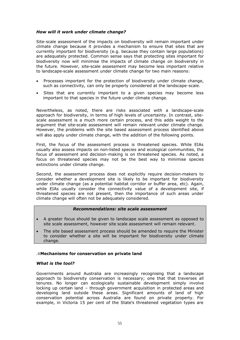## *How will it work under climate change?*

Site-scale assessment of the impacts on biodiversity will remain important under climate change because it provides a mechanism to ensure that sites that are currently important for biodiversity (e.g. because they contain large populations) are adequately protected. Common sense says that protecting sites important for biodiversity now will minimise the impacts of climate change on biodiversity in the future. However, site-scale assessment may become less important relative to landscape-scale assessment under climate change for two main reasons:

- Processes important for the protection of biodiversity under climate change, such as connectivity, can only be properly considered at the landscape-scale.
- Sites that are currently important to a given species may become less important to that species in the future under climate change.

Nevertheless, as noted, there are risks associated with a landscape-scale approach for biodiversity, in terms of high levels of uncertainty. In contrast, sitescale assessment is a much more certain process, and this adds weight to the argument that site-scale assessment will remain relevant under climate change. However, the problems with the site based assessment process identified above will also apply under climate change, with the addition of the following points.

First, the focus of the assessment process is threatened species. While EIAs usually also assess impacts on non-listed species and ecological communities, the focus of assessment and decision-making is on threatened species. As noted, a focus on threatened species may not be the best way to minimise species extinctions under climate change.

Second, the assessment process does not explicitly require decision-makers to consider whether a development site is likely to be important for biodiversity under climate change (as a potential habitat corridor or buffer area, etc). Again, while EIAs usually consider the connectivity value of a development site, if threatened species are not present, then the importance of such areas under climate change will often not be adequately considered.

#### *Recommendations: site scale assessment*

- A greater focus should be given to landscape scale assessment as opposed to site scale assessment, however site scale assessment will remain relevant.
- The site based assessment process should be amended to require the Minister to consider whether a site will be important for biodiversity under climate change.

#### **.8Mechanisms for conservation on private land**

#### *What is the tool?*

Governments around Australia are increasingly recognising that a landscape approach to biodiversity conservation is necessary; one that that traverses all tenures. No longer can ecologically sustainable development simply involve locking up certain land – through government acquisition in protected areas and developing land outside these areas. Significant amounts of land of high conservation potential across Australia are found on private property. For example, in Victoria 15 per cent of the State's threatened vegetation types are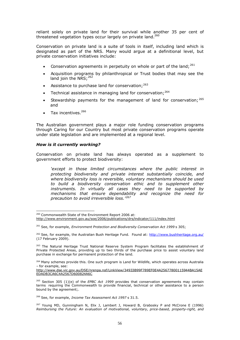reliant solely on private land for their survival while another 35 per cent of threatened vegetation types occur largely on private land.<sup>260</sup>

Conservation on private land is a suite of tools in itself, including land which is designated as part of the NRS. Many would argue at a definitional level, but private conservation initiatives include:

- Conservation agreements in perpetuity on whole or part of the land;  $^{261}$
- Acquisition programs by philanthropical or Trust bodies that may see the land join the NRS: 262
- Assistance to purchase land for conservation;  $263$
- Technical assistance in managing land for conservation;  $264$
- Stewardship payments for the management of land for conservation;  $265$ and
- $\bullet$  Tax incentives  $^{266}$

The Australian government plays a major role funding conservation programs through Caring for our Country but most private conservation programs operate under state legislation and are implemented at a regional level.

#### *How is it currently working?*

Conservation on private land has always operated as a supplement to government efforts to protect biodiversity:

*'except in those limited circumstances where the public interest in protecting biodiversity and private interest substantially coincide, and where biodiversity loss is reversible, voluntary mechanisms should be used to build a biodiversity conservation ethic and to supplement other instruments. In virtually all cases they need to be supported by mechanisms that ensure dependability and recognize the need for precaution to avoid irreversible loss.'<sup>267</sup>*

<sup>260</sup> Commonwealth State of the Environment Report 2006 at: http://www.environment.gov.au/soe/2006/publications/drs/indicator/111/index.html

<sup>261</sup> See, for example, *Environment Protection and Biodiversity Conservation Act 1999* s 305;

<sup>&</sup>lt;sup>262</sup> See, for example, the Australian Bush Heritage Fund. Found at: http://www.bushheritage.org.au/ (17 February 2009).

<sup>&</sup>lt;sup>263</sup> The Natural Heritage Trust National Reserve System Program facilitates the establishment of Private Protected Areas, providing up to two thirds of the purchase price to assist voluntary land purchase in exchange for permanent protection of the land.

<sup>&</sup>lt;sup>264</sup> Many schemes provide this. One such program is Land for Wildlife, which operates across Australia – for example, see:

http://www.dse.vic.gov.au/DSE/nrenpa.nsf/LinkView/34933B99F789EF0E4A25677800115944BA15AE EDADB3CA6C4A2567D600824A6C

<sup>265</sup> Section 305 (1)(e) of the *EPBC Act 1999* provides that conservation agreements may contain terms requiring the Commonwealth to provide financial, technical or other assistance to a person bound by the agreement;.

<sup>&</sup>lt;sup>266</sup> See, for example, *Income Tax Assessment Act 1997* s 31.5.

 $267$  Young MD, Gunningham N, Elix J, Lambert J, Howard B, Grabosky P and McCrone E (1996) *Reimbursing the Future: An evaluation of motivational, voluntary, price-based, property-right, and*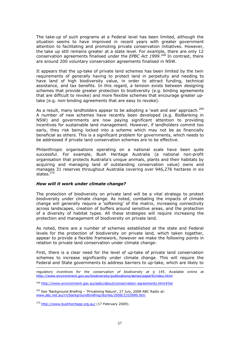The take-up of such programs at a Federal level has been limited, although the situation seems to have improved in recent years with greater government attention to facilitating and promoting private conservation initiatives. However, the take up still remains greater at a state level. For example, there are only 12 conservation agreements finalised under the *EPBC Act 1999*. <sup>268</sup> In contrast, there are around 200 voluntary conservation agreements finalised in NSW.

It appears that the up-take of private land schemes has been limited by the twin requirements of generally having to protect land in perpetuity and needing to have land of high biodiversity value, in order to attract funding, technical assistance, and tax benefits. In this regard, a tension exists between designing schemes that provide greater protection to biodiversity (e.g. binding agreements that are difficult to revoke) and more flexible schemes that encourage greater uptake (e.g. non-binding agreements that are easy to revoke).

As a result, many landholders appear to be adopting a 'wait and see' approach.  $269$ A number of new schemes have recently been developed (e.g. BioBanking in NSW) and governments are now paying significant attention to providing incentives for sustainable land management. However, if landholders commit too early, they risk being locked into a scheme which may not be as financially beneficial as others. This is a significant problem for governments, which needs to be addressed if private land conservation schemes are to be effective.

Philanthropic organisations operating on a national scale have been quite successful. For example, Bush Heritage Australia (a national non-profit organisation that protects Australia's unique animals, plants and their habitats by acquiring and managing land of outstanding conservation value) owns and manages 31 reserves throughout Australia covering over 946,276 hectares in six states. $270$ 

#### *How will it work under climate change?*

The protection of biodiversity on private land will be a vital strategy to protect biodiversity under climate change. As noted, combating the impacts of climate change will generally require a 'softening' of the matrix, increasing connectivity across landscapes, creation of buffers around sensitive areas, and the protection of a diversity of habitat types. All these strategies will require increasing the protection and management of biodiversity on private land.

As noted, there are a number of schemes established at the state and Federal levels for the protection of biodiversity on private land, which taken together, appear to provide a flexible framework, however we make the following points in relation to private land conservation under climate change:

First, there is a clear need for the level of up-take of private land conservation schemes to increase significantly under climate change. This will require the Federal and State governments to address barriers to up-take, which are likely to

 $269$  See 'Background Briefing – 'Privatising Nature', 27 July, 2008 ABC Radio at: www.abc.net.au/rn/backgroundbriefing/stories/2008/2310990.htm

 $^{270}$  http://www.bushheritage.org.au/ (17 February 2009).

*regulatory incentives for the conservation of biodiversity at* p 145. Available online at http://www.environment.gov.au/biodiversity/publications/series/paper9/index.html

<sup>268</sup> http://www.environment.gov.au/epbc/about/conservation-agreements.html#list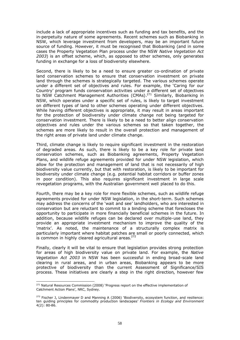include a lack of appropriate incentives such as funding and tax benefits, and the in-perpetuity nature of some agreements. Recent schemes such as Biobanking in NSW, which leverage investment from developers, may be an important future source of funding. However, it must be recognised that Biobanking (and in some cases the Property Vegetation Plan process under the NSW *Native Vegetation Act 2003*) is an offset scheme, which, as opposed to other schemes, only generates funding in exchange for a loss of biodiversity elsewhere.

Second, there is likely to be a need to ensure greater co-ordination of private land conservation schemes to ensure that conservation investment on private land through the schemes is strategically targeted. The various schemes operate under a different set of objectives and rules. For example, the 'Caring for our Country' program funds conservation activities under a different set of objectives to NSW Catchment Management Authorities (CMAs).<sup>271</sup> Similarly, Biobanking in NSW, which operates under a specific set of rules, is likely to target investment on different types of land to other schemes operating under different objectives. While having different objectives is appropriate, it may result in areas important for the protection of biodiversity under climate change not being targeted for conservation investment. There is likely to be a need to better align conservation objectives and rules under the various schemes so that taken together, the schemes are more likely to result in the overall protection and management of the right areas of private land under climate change.

Third, climate change is likely to require significant investment in the restoration of degraded areas. As such, there is likely to be a key role for private land conservation schemes, such as Biobanking agreements, Property Vegetation Plans, and wildlife refuge agreements provided for under NSW legislation, which allow for the protection and management of land that is not necessarily of high biodiversity value currently, but that with restoration, is likely to be important for biodiversity under climate change (e.g. potential habitat corridors or buffer zones in poor condition). This also requires significant investment in large scale revegetation programs, with the Australian government well placed to do this.

Fourth, there may be a key role for more flexible schemes, such as wildlife refuge agreements provided for under NSW legislation, in the short-term. Such schemes may address the concerns of the 'wait and see' landholders, who are interested in conservation but are reluctant to commit to a binding scheme that forecloses the opportunity to participate in more financially beneficial schemes in the future. In addition, because wildlife refuges can be declared over multiple-use land, they provide an appropriate investment mechanism to improve the quality of the 'matrix'. As noted, the maintenance of a structurally complex matrix is particularly important where habitat patches are small or poorly connected, which is common in highly cleared agricultural areas. $272$ 

Finally, clearly it will be vital to ensure that legislation provides strong protection for areas of high biodiversity value on private land. For example, the *Native Vegetation Act 2003* in NSW has been successful in ending broad-scale land clearing in rural areas, and in urban areas, Biobanking appears to be more protective of biodiversity than the current Assessment of Significance/SIS process. These initiatives are clearly a step in the right direction, however few

<sup>&</sup>lt;sup>271</sup> Natural Resources Commission (2008) 'Progress report on the effective implementation of Catchment Action Plans', NRC, Sydney.

<sup>&</sup>lt;sup>272</sup> Fischer J, Lindenmayer D and Manning A (2006) 'Biodiversity, ecosystem function, and resilience: ten guiding principles for commodity production landscapes' *Frontiers in Ecology and Environment*  $4(2): 80-86.$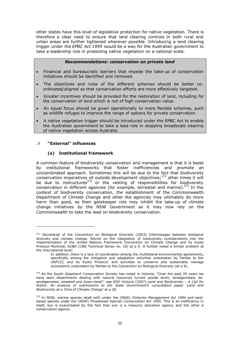other states have this level of legislative protection for native vegetation. There is therefore a clear need to ensure that land clearing controls in both rural and urban areas are further tightened wherever possible. Introducing a land clearing trigger under the *EPBC Act 1999* would be a way for the Australian government to take a leadership role in protecting native vegetation on a national scale.

#### *Recommendations: conservation on private land*

- Financial and bureaucratic barriers that impede the take-up of conservation initiatives should be identified and removed.
- The objectives and rules of the different schemes should be better coordinated/aligned so that conservation efforts are more effectively targeted.
- Greater incentives should be provided for the restoration of land, including for the conservation of land which is not of high conservation value.
- An equal focus should be given operationally to more flexible schemes, such as wildlife refuges to improve the range of options for private conservation.
- A native vegetation trigger should be introduced under the EPBC Act to enable the Australian government to take a lead role in stopping broadscale clearing of native vegetation across Australia.

# **.9 "External" influences**

# **(a) Institutional framework**

A common feature of biodiversity conservation and management is that it is beset by institutional frameworks that foster inefficiencies and promote an uncoordinated approach. Sometimes this will be due to the fact that biodiversity conservation imperatives sit outside development objectives; $273$  other times it will be due to restructures<sup>274</sup> or the vesting of responsibilities for biodiversity conservation in different agencies (for example, terrestial and marine). $275$  In the context of biodiversity conservation, the establishment of the Commonwealth Department of Climate Change and other like agencies may ultimately do more harm than good, as their gatekeeper role may inhibit the take-up of climate change initiatives by the NSW Government as it may now rely on the Commonwealth to take the lead on biodiversity conservation.

<sup>&</sup>lt;sup>273</sup> Secretariat of the Convention on Biological Diversity (2003) Interlinkages between biological diversity and climate change. Advice on the integration of biodiversity considerations into the implementation of the United Nations Framework Convention on Climate Change and its Kyoto Protocol Montreal, SCBD (CBD Technical Series no. 10) at p 9. It further noted a similar problem at the international level:

In addition, there is a lack of coordination among the multilateral environmental agreements, specifically among the mitigation and adaptation activities undertaken by Parties to the UNFCCC and its Kyoto Protocol, and activities to conserve and sustainably manage ecosystems undertaken by Parties to the Convention on Biological Diversity (at p 9).

<sup>&</sup>lt;sup>274</sup> As the South Gippsland Conservation Society has noted in Victoria: "Over the past 20 years we have seen departments dealing with natural resources turned upside down, amalgamated, deamalgamated, tweaked and down-sized": see EDO Victoria (2007) *Land and Biodiversity – A Call for Action: An analysis of submissions to the State Government's consultation paper 'Land and Biodiversity at a Time of Climate Change'* at p 20.

<sup>275</sup> In NSW, marine species dealt with under the (NSW) *Fisheries Management Act 1994* and landbased species under the (NSW) *Threatened Species Conservation Act 1995*. This is an inefficiency in itself, but is exacerbated by the fact that one is a resource allocation agency and the other a conservation agency.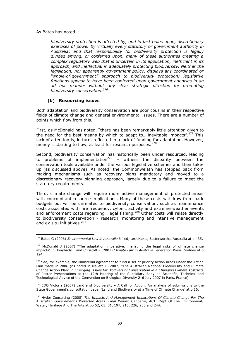As Bates has noted:

*biodiversity protection is affected by, and in fact relies upon, discretionary exercises of power by virtually every statutory or government authority in Australia; and that responsibility for biodiversity protection is legally divided among, or conferred upon, many of these authorities creating a complex regulatory web that is uncertain in its application, inefficient in its approach, and ineffectual in adequately protecting biodiversity. Neither the legislation, nor apparently government policy, displays any coordinated or "whole-of-government" approach to biodiversity protection; legislative functions appear to have been conferred upon government agencies in an ad hoc manner without any clear strategic direction for promoting biodiversity conservation.<sup>276</sup>*

# **(b) Resourcing issues**

Both adaptation and biodiversity conservation are poor cousins in their respective fields of climate change and general environmental issues. There are a number of points which flow from this.

First, as McDonald has noted, "there has been remarkably little attention given to the need for the best means by which to adapt to....inevitable impacts".<sup>277</sup> This lack of attention is, in turn, reflected in a lack of funding for adaptation. However, money is starting to flow, at least for research purposes.<sup>278</sup>

Second, biodiversity conservation has historically been under resourced, leading to problems of implementation<sup>279</sup> – witness the disparity between the conservation tools available under the various legislative schemes and their takeup (as discussed above). As noted, the Commonwelath has stepped back from making mechanisms such as recovery plans mandatory and moved to a discretionary recovery planning approach, largely due to a failure to meet the statutory requirements.

Third, climate change will require more active management of protected areas with concomitant resource implications. Many of these costs will draw from park budgets but will be unrelated to biodiversity conservation, such as maintenance costs associated with fire frequency, cylonic activity and extreme weather events and enforcement costs regarding illegal fishing.<sup>280</sup> Other costs will relate directly to biodiversity conservation - research, monitoring and intensive management and ex situ initiatives.<sup>281</sup>

<sup>&</sup>lt;sup>276</sup> Bates G (2006) *Environmental Law in Australia* 6<sup>th</sup> ed, LexisNexis, Butterworths, Australia at p 435.

<sup>&</sup>lt;sup>277</sup> McDonald J (2007) "The adaptation imperative: managing the legal risks of climate change impacts" in Bonyhady T and Christoff P (2007) *Climate Law in Australia* Federation Press, Sydney at p 124.

<sup>&</sup>lt;sup>278</sup> See, for example, the Ministerial agreement to fund a set of priority action areas under the Action Plan made in 2006 (as noted in Mallett K (2007) "The Australian National Biodiversity and Climate Change Action Plan" in *Emerging Issues for Biodiversity Conservation in a Changing Climate* Abstracts of Poster Presentations at the 12th Meeting of the Subsidiary Body on Scientific, Technical and Technological Advice of the Convention on Biological Diversity 2–6 July 2007 in Paris, France).

 $279$  EDO Victoria (2007) Land and Biodiversity – A Call for Action: An analysis of submissions to the State Government's consultation paper 'Land and Biodiversity at a Time of Climate Change' at p 16.

<sup>&</sup>lt;sup>280</sup> Hyder Consulting (2008) *The Impacts And Management Implications Of Climate Change For The Australian Government's Protected Areas: Final Report*, Canberra, ACT: Dept Of The Environment, Water, Heritage And The Arts at pp 52, 63, 81, 197, 215, 226, 235 and 244.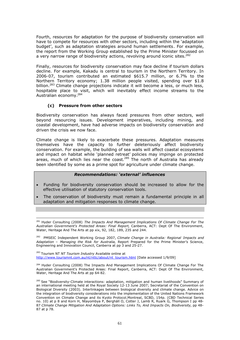Fourth, resources for adaptation for the purpose of biodiversity conservation will have to compete for resources with other sectors, including within the 'adaptation budget', such as adaptation strategies around human settlements. For example, the report from the Working Group established by the Prime Minister focussed on a very narrow range of biodiversity actions, revolving around iconic sites.<sup>282</sup>

Finally, resources for biodiversity conservation may face decline if tourism dollars decline. For example, Kakadu is central to tourism in the Northern Territory. In 2006-07, tourism contributed an estimated \$615.7 million, or 6.7% to the Northern Territory economy; 1.38 million people visited, spending over \$1.8 billion.<sup>283</sup> Climate change projections indicate it will become a less, or much less, hospitable place to visit, which will inevitably effect income streams to the Australian economy.<sup>284</sup>

# **(c) Pressure from other sectors**

Biodiversity conservation has always faced pressures from other sectors, well beyond resourcing issues. Development imperatives, including mining, and coastal development, have had adverse impacts on biodiversity conservation and driven the crisis we now face.

Climate change is likely to exacerbate these pressures. Adaptation measures themselves have the capacity to further deleteriously affect biodiversity conservation. For example, the building of sea walls will affect coastal ecosystems and impact on habitat while 'planned retreat' policies may impinge on protected areas, much of which lies near the coast.<sup>285</sup> The north of Australia has already been identified by some as a prime spot for agriculture under climate change.

# *Recommendations: 'external' influences*

- Funding for biodiversity conservation should be increased to allow for the effective utilisation of statutory conservation tools.
- The conservation of biodiversity must remain a fundamental principle in all adaptation and mitigation responses to climate change.

<sup>281</sup> Hyder Consulting (2008) *The Impacts And Management Implications Of Climate Change For The Australian Government's Protected Areas: Final Report*, Canberra, ACT: Dept Of The Environment, Water, Heritage And The Arts at pp xix, 92, 182, 189, 235 and 244.

<sup>282</sup> PMSEIC Independent Working Group 2007, *Climate Change in Australia: Regional Impacts and Adaptation – Managing the Risk for Australia*, Report Prepared for the Prime Minister's Science, Engineering and Innovation Council, Canberra at pp 3 and 25-27.

<sup>283</sup> Tourism NT *NT Tourism Industry* Available online at http://www.tourismnt.com.au/nt/nttc/about/nt\_tourism.html [Date accessed 1/9/09]

<sup>284</sup> Hyder Consulting (2008) The Impacts And Management Implications Of Climate Change For The Australian Government's Protected Areas: Final Report, Canberra, ACT: Dept Of The Environment, Water, Heritage And The Arts at pp 64-82.

<sup>285</sup> See "Biodiversity-Climate interactions: adaptation, mitigation and human livelihoods" Summary of an international meeting held at the Royal Society 12-13 June 2007; Secretariat of the Convention on Biological Diversity (2003). Interlinkages between biological diversity and climate change. Advice on the integration of biodiversity considerations into the implementation of the United Nations Framework Convention on Climate Change and its Kyoto Protocol.Montreal, SCBD, 154p. (CBD Technical Series no. 10) at p 8 and Korn H, Ntayombya P, Berghäll O, Cotter J, Lamb R, Ruark G, Thompson I pp 48- 87 *Climate Change Mitigation And Adaptation Options: Links To, And Impacts On, Biodiversity*, pp 48- 87 at p 78.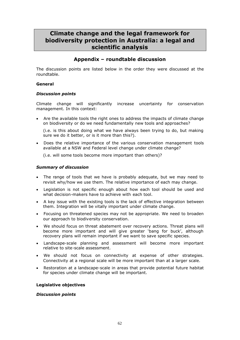# **Climate change and the legal framework for biodiversity protection in Australia: a legal and scientific analysis**

# **Appendix – roundtable discussion**

The discussion points are listed below in the order they were discussed at the roundtable.

# **General**

# *Discussion points*

Climate change will significantly increase uncertainty for conservation management. In this context:

 Are the available tools the right ones to address the impacts of climate change on biodiversity or do we need fundamentally new tools and approaches?

(i.e. is this about doing what we have always been trying to do, but making sure we do it better, or is it more than this?).

 Does the relative importance of the various conservation management tools available at a NSW and Federal level change under climate change?

(i.e. will some tools become more important than others)?

# *Summary of discussion*

- The range of tools that we have is probably adequate, but we may need to revisit why/how we use them. The relative importance of each may change.
- Legislation is not specific enough about how each tool should be used and what decision-makers have to achieve with each tool.
- A key issue with the existing tools is the lack of effective integration between them. Integration will be vitally important under climate change.
- Focusing on threatened species may not be appropriate. We need to broaden our approach to biodiversity conservation.
- We should focus on threat abatement over recovery actions. Threat plans will become more important and will give greater 'bang for buck', although recovery plans will remain important if we want to save specific species.
- Landscape-scale planning and assessment will become more important relative to site-scale assessment.
- We should not focus on connectivity at expense of other strategies. Connectivity at a regional scale will be more important than at a larger scale.
- Restoration at a landscape-scale in areas that provide potential future habitat for species under climate change will be important.

## **Legislative objectives**

#### *Discussion points*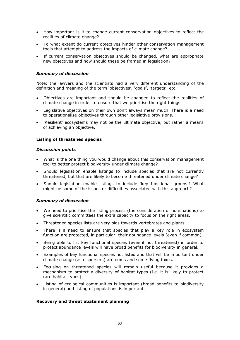- How important is it to change current conservation objectives to reflect the realities of climate change?
- To what extent do current objectives hinder other conservation management tools that attempt to address the impacts of climate change?
- If current conservation objectives should be changed, what are appropriate new objectives and how should these be framed in legislation?

#### *Summary of discussion*

Note: the lawyers and the scientists had a very different understanding of the definition and meaning of the term 'objectives', 'goals', 'targets', etc.

- Objectives are important and should be changed to reflect the realities of climate change in order to ensure that we prioritise the right things.
- Legislative objectives on their own don't always mean much. There is a need to operationalise objectives through other legislative provisions.
- 'Resilient' ecosystems may not be the ultimate objective, but rather a means of achieving an objective.

#### **Listing of threatened species**

#### *Discussion points*

- What is the one thing you would change about this conservation management tool to better protect biodiversity under climate change?
- Should legislation enable listings to include species that are not currently threatened, but that are likely to become threatened under climate change?
- Should legislation enable listings to include 'key functional groups'? What might be some of the issues or difficulties associated with this approach?

#### *Summary of discussion*

- We need to prioritise the listing process (the consideration of nominations) to give scientific committees the extra capacity to focus on the right areas.
- Threatened species lists are very bias towards vertebrates and plants.
- There is a need to ensure that species that play a key role in ecosystem function are protected, in particular, their abundance levels (even if common).
- Being able to list key functional species (even if not threatened) in order to protect abundance levels will have broad benefits for biodiversity in general.
- Examples of key functional species not listed and that will be important under climate change (as dispersers) are emus and some flying foxes.
- Focusing on threatened species will remain useful because it provides a mechanism to protect a diversity of habitat types (i.e. it is likely to protect rare habitat types).
- Listing of ecological communities is important (broad benefits to biodiversity in general) and listing of populations is important.

#### **Recovery and threat abatement planning**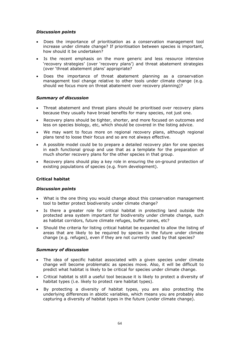# *Discussion points*

- Does the importance of prioritisation as a conservation management tool increase under climate change? If prioritisation between species is important, how should it be undertaken?
- Is the recent emphasis on the more generic and less resource intensive 'recovery strategies' (over 'recovery plans') and threat abatement strategies (over 'threat abatement plans' appropriate?
- Does the importance of threat abatement planning as a conservation management tool change relative to other tools under climate change (e.g. should we focus more on threat abatement over recovery planning)?

# *Summary of discussion*

- Threat abatement and threat plans should be prioritised over recovery plans because they usually have broad benefits for many species, not just one.
- Recovery plans should be tighter, shorter, and more focused on outcomes and less on species biology, etc, which should be covered in the listing advice.
- We may want to focus more on regional recovery plans, although regional plans tend to loose their focus and so are not always effective.
- A possible model could be to prepare a detailed recovery plan for one species in each functional group and use that as a template for the preparation of much shorter recovery plans for the other species in that group.
- Recovery plans should play a key role in ensuring the on-ground protection of existing populations of species (e.g. from development).

#### **Critical habitat**

#### *Discussion points*

- What is the one thing you would change about this conservation management tool to better protect biodiversity under climate change?
- Is there a greater role for critical habitat in protecting land outside the protected area system important for biodiversity under climate change, such as habitat corridors, future climate refuges, buffer zones, etc?
- Should the criteria for listing critical habitat be expanded to allow the listing of areas that are likely to be required by species in the future under climate change (e.g. refuges), even if they are not currently used by that species?

#### *Summary of discussion*

- The idea of specific habitat associated with a given species under climate change will become problematic as species move. Also, it will be difficult to predict what habitat is likely to be critical for species under climate change.
- Critical habitat is still a useful tool because it is likely to protect a diversity of habitat types (i.e. likely to protect rare habitat types).
- By protecting a diversity of habitat types, you are also protecting the underlying differences in abiotic variables, which means you are probably also capturing a diversity of habitat types in the future (under climate change).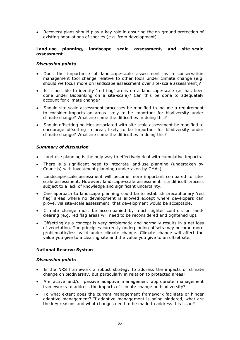Recovery plans should play a key role in ensuring the on-ground protection of existing populations of species (e.g. from development).

#### **Land-use planning, landscape scale assessment, and site-scale assessment**

#### *Discussion points*

- Does the importance of landscape-scale assessment as a conservation management tool change relative to other tools under climate change (e.g. should we focus more on landscape assessment over site-scale assessment)?
- Is it possible to identify 'red flag' areas on a landscape-scale (as has been done under Biobanking on a site-scale)? Can this be done to adequately account for climate change?
- Should site-scale assessment processes be modified to include a requirement to consider impacts on areas likely to be important for biodiversity under climate change? What are some the difficulties in doing this?
- Should offsetting policies associated with site-scale assessment be modified to encourage offsetting in areas likely to be important for biodiversity under climate change? What are some the difficulties in doing this?

# *Summary of discussion*

- Land-use planning is the only way to effectively deal with cumulative impacts.
- There is a significant need to integrate land-use planning (undertaken by Councils) with investment planning (undertaken by CMAs).
- Landscape-scale assessment will become more important compared to sitescale assessment. However, landscape-scale assessment is a difficult process subject to a lack of knowledge and significant uncertainty.
- One approach to landscape planning could be to establish precautionary 'red flag' areas where no development is allowed except where developers can prove, via site-scale assessment, that development would be acceptable.
- Climate change must be accompanied by much tighter controls on landclearing (e.g. red flag areas will need to be reconsidered and tightened up).
- Offsetting as a concept is very problematic and normally results in a net loss of vegetation. The principles currently underpinning offsets may become more problematic/less valid under climate change. Climate change will affect the value you give to a clearing site and the value you give to an offset site.

#### **National Reserve System**

#### *Discussion points*

- Is the NRS framework a robust strategy to address the impacts of climate change on biodiversity, but particularly in relation to protected areas?
- Are active and/or passive adaptive management appropriate management frameworks to address the impacts of climate change on biodiversity?
- To what extent does the current management framework facilitate or hinder adaptive management? If adaptive management is being hindered, what are the key reasons and what changes need to be made to address this issue?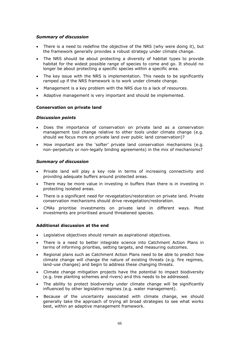# *Summary of discussion*

- There is a need to redefine the objective of the NRS (why were doing it), but the framework generally provides a robust strategy under climate change.
- The NRS should be about protecting a diversity of habitat types to provide habitat for the widest possible range of species to come and go. It should no longer be about protecting a specific species within a specific area.
- The key issue with the NRS is implementation. This needs to be significantly ramped up if the NRS framework is to work under climate change.
- Management is a key problem with the NRS due to a lack of resources.
- Adaptive management is very important and should be implemented.

# **Conservation on private land**

#### *Discussion points*

- Does the importance of conservation on private land as a conservation management tool change relative to other tools under climate change (e.g. should we focus more on private land over public land conservation)?
- How important are the 'softer' private land conservation mechanisms (e.g. non-perpetuity or non-legally binding agreements) in the mix of mechanisms?

# *Summary of discussion*

- Private land will play a key role in terms of increasing connectivity and providing adequate buffers around protected areas.
- There may be more value in investing in buffers than there is in investing in protecting isolated areas.
- There is a significant need for revegetation/restoration on private land. Private conservation mechanisms should drive revegetation/restoration.
- CMAs prioritise investments on private land in different ways. Most investments are prioritised around threatened species.

# **Additional discussion at the end**

- Legislative objectives should remain as aspirational objectives.
- There is a need to better integrate science into Catchment Action Plans in terms of informing priorities, setting targets, and measuring outcomes.
- Regional plans such as Catchment Action Plans need to be able to predict how climate change will change the nature of existing threats (e.g. fire regimes, land-use changes) and begin to address these changing threats.
- Climate change mitigation projects have the potential to impact biodiversity (e.g. tree planting schemes and rivers) and this needs to be addressed.
- The ability to protect biodiversity under climate change will be significantly influenced by other legislative regimes (e.g. water management).
- Because of the uncertainty associated with climate change, we should generally take the approach of trying all broad strategies to see what works best, within an adaptive management framework.